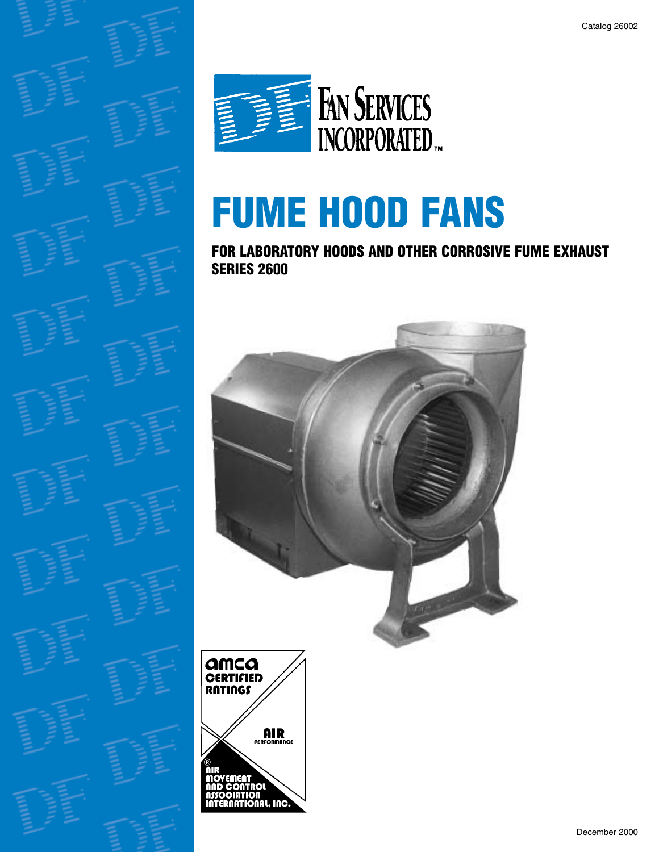

# **FUME HOOD FANS**

**FOR LABORATORY HOODS AND OTHER CORROSIVE FUME EXHAUST SERIES 2600**



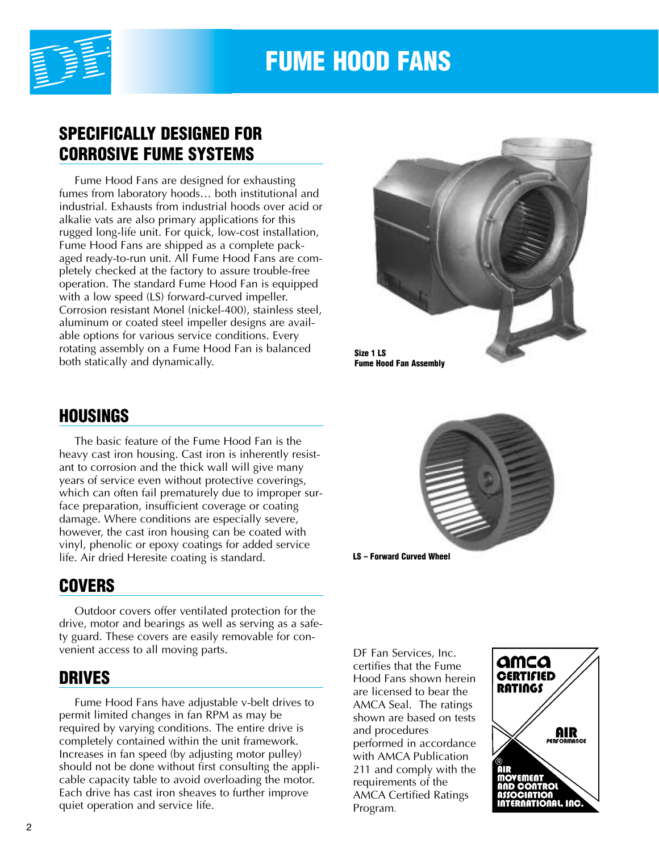

# **FUME HOOD FANS**

# **SPECIFICALLY DESIGNED FOR CORROSIVE FUME SYSTEMS**

Fume Hood Fans are designed for exhausting fumes from laboratory hoods… both institutional and industrial. Exhausts from industrial hoods over acid or alkalie vats are also primary applications for this rugged long-life unit. For quick, low-cost installation, Fume Hood Fans are shipped as a complete packaged ready-to-run unit. All Fume Hood Fans are completely checked at the factory to assure trouble-free operation. The standard Fume Hood Fan is equipped with a low speed (LS) forward-curved impeller. Corrosion resistant Monel (nickel-400), stainless steel, aluminum or coated steel impeller designs are available options for various service conditions. Every rotating assembly on a Fume Hood Fan is balanced both statically and dynamically.



# **HOUSINGS**

The basic feature of the Fume Hood Fan is the heavy cast iron housing. Cast iron is inherently resistant to corrosion and the thick wall will give many years of service even without protective coverings, which can often fail prematurely due to improper surface preparation, insufficient coverage or coating damage. Where conditions are especially severe, however, the cast iron housing can be coated with vinyl, phenolic or epoxy coatings for added service life. Air dried Heresite coating is standard.

# **COVERS**

Outdoor covers offer ventilated protection for the drive, motor and bearings as well as serving as a safety guard. These covers are easily removable for convenient access to all moving parts.

### **DRIVES**

Fume Hood Fans have adjustable v-belt drives to permit limited changes in fan RPM as may be required by varying conditions. The entire drive is completely contained within the unit framework. Increases in fan speed (by adjusting motor pulley) should not be done without first consulting the applicable capacity table to avoid overloading the motor. Each drive has cast iron sheaves to further improve quiet operation and service life.



DF Fan Services, Inc. certifies that the Fume Hood Fans shown herein are licensed to bear the AMCA Seal. The ratings shown are based on tests and procedures performed in accordance with AMCA Publication 211 and comply with the requirements of the AMCA Certified Ratings Program.

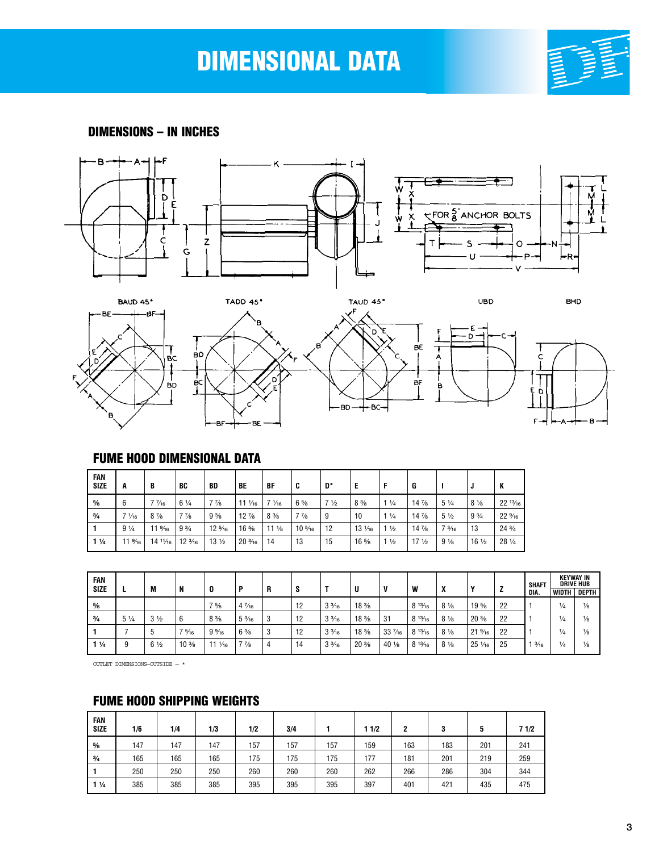# **DIMENSIONAL DATA**



**DIMENSIONS – IN INCHES**









#### **FUME HOOD DIMENSIONAL DATA**

| FAN<br><b>SIZE</b> | A                | B                | BC                            | BD               | BE                | BF              | C                | D*             | E                |                | G               |                 |                 | К                |
|--------------------|------------------|------------------|-------------------------------|------------------|-------------------|-----------------|------------------|----------------|------------------|----------------|-----------------|-----------------|-----------------|------------------|
| $\frac{5}{8}$      | 6                | $7\frac{7}{16}$  | $6\frac{1}{4}$                | $7\frac{7}{8}$   | $11 \frac{1}{16}$ | $7\frac{1}{16}$ | $6\frac{5}{8}$   | 7 <sub>2</sub> | $8\frac{3}{8}$   | $1\frac{1}{4}$ | $14\frac{7}{8}$ | $5\frac{1}{4}$  | $8\frac{1}{8}$  | $22^{13}/_{16}$  |
| $\frac{3}{4}$      | $7\frac{1}{16}$  | $8\frac{7}{8}$   | $7\frac{7}{8}$                | 9 <sub>3/8</sub> | $12\frac{7}{8}$   | $8\frac{3}{8}$  | $7\frac{7}{8}$   | 9              | 10               | $1\frac{1}{4}$ | $14\frac{7}{8}$ | $5\frac{1}{2}$  | $9\frac{3}{4}$  | $22\frac{9}{16}$ |
|                    | $9\frac{1}{4}$   | $11\frac{9}{16}$ | 9 <sup>3</sup> / <sub>4</sub> | $12\frac{5}{16}$ | $16\frac{5}{8}$   | $11\frac{1}{8}$ | $10\frac{5}{16}$ | 12             | $13 \frac{1}{6}$ | $\frac{1}{2}$  | $14\frac{7}{8}$ | $7\frac{3}{16}$ | 13              | $24\frac{3}{4}$  |
| $1\frac{1}{4}$     | $11\frac{9}{16}$ | $14^{11}/_{16}$  | $12\frac{3}{16}$              | $13\frac{1}{2}$  | $20\frac{3}{16}$  | 14              | 13               | 15             | $16\frac{5}{8}$  | $\frac{1}{2}$  | 17 <sub>2</sub> | $9\frac{1}{8}$  | $16\frac{1}{2}$ | 28 1/4           |

| FAN<br><b>SIZE</b> |                | M              | N                              | 0                    | Р               | R | O  |                 | U                              | v                | W      | v              | v                | <u>.</u> | <b>SHAFT</b><br>DIA. | <b>WIDTH</b>  | <b>KEYWAY IN</b><br><b>DRIVE HUB</b><br>DEPTH |
|--------------------|----------------|----------------|--------------------------------|----------------------|-----------------|---|----|-----------------|--------------------------------|------------------|--------|----------------|------------------|----------|----------------------|---------------|-----------------------------------------------|
| $\frac{5}{8}$      |                |                |                                | 75/8                 | $4\frac{7}{16}$ |   | 12 | $3\frac{3}{16}$ | $18\frac{3}{8}$                |                  | 813/16 | $8\frac{1}{8}$ | $19.5$ /s        | 22       |                      | $\frac{1}{4}$ | $\frac{1}{8}$                                 |
| $\frac{3}{4}$      | $5\frac{1}{4}$ | $3\frac{1}{2}$ | 6                              | $8\frac{3}{8}$       | $5\frac{3}{16}$ | 3 | 12 | $3\frac{3}{16}$ | 18 <sup>3</sup> / <sub>8</sub> | 31               | 813/16 | $8\frac{1}{8}$ | $20\frac{3}{8}$  | 22       |                      | 1⁄4           | $\frac{1}{8}$                                 |
|                    |                | . ხ            | $7\frac{5}{16}$                | $9\frac{9}{16}$      | $6\frac{3}{8}$  | 3 | 12 | $3\frac{3}{16}$ | 18 <sup>3</sup> / <sub>8</sub> | $33\frac{7}{16}$ | 813/16 | $8\frac{1}{8}$ | $21\frac{9}{16}$ | 22       |                      | $\frac{1}{4}$ | $\frac{1}{8}$                                 |
| $1\frac{1}{4}$     | 9              | $6\frac{1}{2}$ | 10 <sup>3</sup> / <sub>8</sub> | 11<br>$\frac{1}{16}$ | $7\frac{7}{8}$  | 4 | 14 | $3\frac{3}{16}$ | $20\frac{3}{8}$                | 40 1/8           | 813/16 | $8\frac{1}{8}$ | $25\frac{1}{16}$ | 25       | $\frac{3}{16}$       | $\frac{1}{4}$ | $\frac{1}{8}$                                 |

OUTLET DIMENSIONS—OUTSIDE  $\star$ 

#### **FUME HOOD SHIPPING WEIGHTS**

| FAN<br>Size    | 1/6 | 1/4 | 1/3 | 1/2 | 3/4 |     | 11/2 | 2   | 3   | 5   | 71/2 |
|----------------|-----|-----|-----|-----|-----|-----|------|-----|-----|-----|------|
| $\frac{5}{8}$  | 147 | 147 | 147 | 157 | 157 | 157 | 159  | 163 | 183 | 201 | 241  |
| $\frac{3}{4}$  | 165 | 165 | 165 | 175 | 175 | 175 | 177  | 181 | 201 | 219 | 259  |
|                | 250 | 250 | 250 | 260 | 260 | 260 | 262  | 266 | 286 | 304 | 344  |
| $1\frac{1}{4}$ | 385 | 385 | 385 | 395 | 395 | 395 | 397  | 401 | 421 | 435 | 475  |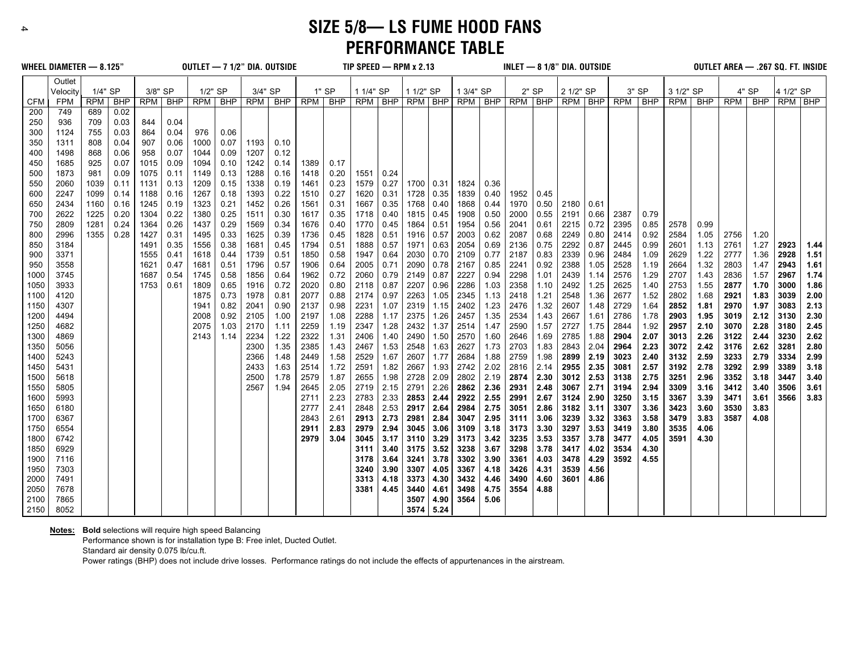**SIZE 5/8— LS FUME HOOD FANS PERFORMANCE TABLE**

|            | WHEEL DIAMETER - 8.125" |            |            |         |      | OUTLET - 7 1/2" DIA, OUTSIDE |           |         |         |      |         |           |           | TIP SPEED - RPM x 2.13 |      |           |      |      |       | INLET $-$ 8 1/8" DIA. OUTSIDE           |      |      |       |           |       | OUTLET AREA - .267 SQ. FT. INSIDE |       |           |      |
|------------|-------------------------|------------|------------|---------|------|------------------------------|-----------|---------|---------|------|---------|-----------|-----------|------------------------|------|-----------|------|------|-------|-----------------------------------------|------|------|-------|-----------|-------|-----------------------------------|-------|-----------|------|
|            | Outlet<br>Velocity      | 1/4" SP    |            | 3/8" SP |      | 1/2" SP                      |           | 3/4" SP |         |      | $1"$ SP | 1 1/4" SP |           | 1 1/2" SP              |      | 1 3/4" SP |      |      | 2" SP | 2 1/2" SP                               |      |      | 3" SP | 3 1/2" SP |       |                                   | 4" SP | 4 1/2" SP |      |
| <b>CFM</b> | FPM                     | <b>RPM</b> | <b>BHP</b> | RPM     | BHP  |                              | RPM   BHP |         | RPM BHP | RPM  | BHP     |           | RPM   BHP | RPM BHP                |      |           |      |      |       | $RPM$   BHP   $RPM$   BHP   $RPM$   BHP |      | RPM  | BHP   | RPM       | BHP I | RPM I                             | BHP   | RPM BHP   |      |
| 200        | 749                     | 689        | 0.02       |         |      |                              |           |         |         |      |         |           |           |                        |      |           |      |      |       |                                         |      |      |       |           |       |                                   |       |           |      |
| 250        | 936                     | 709        | 0.03       | 844     | 0.04 |                              |           |         |         |      |         |           |           |                        |      |           |      |      |       |                                         |      |      |       |           |       |                                   |       |           |      |
| 300        | 1124                    | 755        | 0.03       | 864     | 0.04 | 976                          | 0.06      |         |         |      |         |           |           |                        |      |           |      |      |       |                                         |      |      |       |           |       |                                   |       |           |      |
| 350        | 1311                    | 808        | 0.04       | 907     | 0.06 | 1000                         | 0.07      | 1193    | 0.10    |      |         |           |           |                        |      |           |      |      |       |                                         |      |      |       |           |       |                                   |       |           |      |
| 400        | 1498                    | 868        | 0.06       | 958     | 0.07 | 1044                         | 0.09      | 1207    | 0.12    |      |         |           |           |                        |      |           |      |      |       |                                         |      |      |       |           |       |                                   |       |           |      |
| 450        | 1685                    | 925        | 0.07       | 1015    | 0.09 | 1094                         | 0.10      | 1242    | 0.14    | 1389 | 0.17    |           |           |                        |      |           |      |      |       |                                         |      |      |       |           |       |                                   |       |           |      |
| 500        | 1873                    | 981        | 0.09       | 1075    | 0.11 | 1149                         | 0.13      | 1288    | 0.16    | 1418 | 0.20    | 1551      | 0.24      |                        |      |           |      |      |       |                                         |      |      |       |           |       |                                   |       |           |      |
| 550        | 2060                    | 1039       | 0.11       | 1131    | 0.13 | 1209                         | 0.15      | 1338    | 0.19    | 1461 | 0.23    | 1579      | 0.27      | 1700                   | 0.31 | 1824      | 0.36 |      |       |                                         |      |      |       |           |       |                                   |       |           |      |
| 600        | 2247                    | 1099       | 0.14       | 1188    | 0.16 | 1267                         | 0.18      | 1393    | 0.22    | 1510 | 0.27    | 1620      | 0.31      | 1728                   | 0.35 | 1839      | 0.40 | 1952 | 0.45  |                                         |      |      |       |           |       |                                   |       |           |      |
| 650        | 2434                    | 1160       | 0.16       | 1245    | 0.19 | 1323                         | 0.21      | 1452    | 0.26    | 1561 | 0.31    | 1667      | 0.35      | 1768                   | 0.40 | 1868      | 0.44 | 1970 | 0.50  | 2180                                    | 0.61 |      |       |           |       |                                   |       |           |      |
| 700        | 2622                    | 1225       | 0.20       | 1304    | 0.22 | 1380                         | 0.25      | 1511    | 0.30    | 1617 | 0.35    | 1718      | 0.40      | 1815                   | 0.45 | 1908      | 0.50 | 2000 | 0.55  | 2191                                    | 0.66 | 2387 | 0.79  |           |       |                                   |       |           |      |
| 750        | 2809                    | 1281       | 0.24       | 1364    | 0.26 | 1437                         | 0.29      | 1569    | 0.34    | 1676 | 0.40    | 1770      | 0.45      | 1864                   | 0.51 | 1954      | 0.56 | 2041 | 0.61  | 2215                                    | 0.72 | 2395 | 0.85  | 2578      | 0.99  |                                   |       |           |      |
| 800        | 2996                    | 1355       | 0.28       | 1427    | 0.31 | 1495                         | 0.33      | 1625    | 0.39    | 1736 | 0.45    | 1828      | 0.51      | 1916                   | 0.57 | 2003      | 0.62 | 2087 | 0.68  | 2249                                    | 0.80 | 2414 | 0.92  | 2584      | 1.05  | 2756                              | 1.20  |           |      |
| 850        | 3184                    |            |            | 1491    | 0.35 | 1556                         | 0.38      | 1681    | 0.45    | 1794 | 0.51    | 1888      | 0.57      | 1971                   | 0.63 | 2054      | 0.69 | 2136 | 0.75  | 2292                                    | 0.87 | 2445 | 0.99  | 2601      | 1.13  | 2761                              | 1.27  | 2923      | 1.44 |
| 900        | 3371                    |            |            | 1555    | 0.41 | 1618                         | 0.44      | 1739    | 0.51    | 1850 | 0.58    | 1947      | 0.64      | 2030                   | 0.70 | 2109      | 0.77 | 2187 | 0.83  | 2339                                    | 0.96 | 2484 | 1.09  | 2629      | 1.22  | 2777                              | 1.36  | 2928      | 1.51 |
| 950        | 3558                    |            |            | 1621    | 0.47 | 1681                         | 0.51      | 1796    | 0.57    | 1906 | 0.64    | 2005      | 0.71      | 2090                   | 0.78 | 2167      | 0.85 | 2241 | 0.92  | 2388                                    | 1.05 | 2528 | 1.19  | 2664      | 1.32  | 2803                              | 1.47  | 2943      | 1.61 |
| 1000       | 3745                    |            |            | 1687    | 0.54 | 1745                         | 0.58      | 1856    | 0.64    | 1962 | 0.72    | 2060      | 0.79      | 2149                   | 0.87 | 2227      | 0.94 | 2298 | 1.01  | 2439                                    | 1.14 | 2576 | 1.29  | 2707      | 1.43  | 2836                              | 1.57  | 2967      | 1.74 |
| 1050       | 3933                    |            |            | 1753    | 0.61 | 1809                         | 0.65      | 1916    | 0.72    | 2020 | 0.80    | 2118      | 0.87      | 2207                   | 0.96 | 2286      | 1.03 | 2358 | 1.10  | 2492                                    | 1.25 | 2625 | 1.40  | 2753      | 1.55  | 2877                              | 1.70  | 3000      | 1.86 |
| 1100       | 4120                    |            |            |         |      | 1875                         | 0.73      | 1978    | 0.81    | 2077 | 0.88    | 2174      | 0.97      | 2263                   | 1.05 | 2345      | 1.13 | 2418 | 1.21  | 2548                                    | 1.36 | 2677 | 1.52  | 2802      | 1.68  | 2921                              | 1.83  | 3039      | 2.00 |
| 1150       | 4307                    |            |            |         |      | 1941                         | 0.82      | 2041    | 0.90    | 2137 | 0.98    | 2231      | 1.07      | 2319                   | 1.15 | 2402      | 1.23 | 2476 | 1.32  | 2607                                    | 1.48 | 2729 | 1.64  | 2852      | 1.81  | 2970                              | 1.97  | 3083      | 2.13 |
| 1200       | 4494                    |            |            |         |      | 2008                         | 0.92      | 2105    | 1.00    | 2197 | 1.08    | 2288      | 1.17      | 2375                   | 1.26 | 2457      | 1.35 | 2534 | 1.43  | 2667                                    | 1.61 | 2786 | 1.78  | 2903      | 1.95  | 3019                              | 2.12  | 3130      | 2.30 |
| 1250       | 4682                    |            |            |         |      | 2075                         | 1.03      | 2170    | 1.11    | 2259 | 1.19    | 2347      | 1.28      | 2432                   | 1.37 | 2514      | 1.47 | 2590 | 1.57  | 2727                                    | 1.75 | 2844 | 1.92  | 2957      | 2.10  | 3070                              | 2.28  | 3180      | 2.45 |
| 1300       | 4869                    |            |            |         |      | 2143                         | 1.14      | 2234    | 1.22    | 2322 | 1.31    | 2406      | 1.40      | 2490                   | 1.50 | 2570      | 1.60 | 2646 | 1.69  | 2785                                    | 1.88 | 2904 | 2.07  | 3013      | 2.26  | 3122                              | 2.44  | 3230      | 2.62 |
| 1350       | 5056                    |            |            |         |      |                              |           | 2300    | 1.35    | 2385 | 1.43    | 2467      | 1.53      | 2548                   | 1.63 | 2627      | 1.73 | 2703 | 1.83  | 2843                                    | 2.04 | 2964 | 2.23  | 3072      | 2.42  | 3176                              | 2.62  | 3281      | 2.80 |
| 1400       | 5243                    |            |            |         |      |                              |           | 2366    | 1.48    | 2449 | 1.58    | 2529      | 1.67      | 2607                   | 1.77 | 2684      | 1.88 | 2759 | 1.98  | 2899                                    | 2.19 | 3023 | 2.40  | 3132      | 2.59  | 3233                              | 2.79  | 3334      | 2.99 |
| 1450       | 5431                    |            |            |         |      |                              |           | 2433    | 1.63    | 2514 | 1.72    | 2591      | 1.82      | 2667                   | 1.93 | 2742      | 2.02 | 2816 | 2.14  | 2955                                    | 2.35 | 3081 | 2.57  | 3192      | 2.78  | 3292                              | 2.99  | 3389      | 3.18 |
| 1500       | 5618                    |            |            |         |      |                              |           | 2500    | 1.78    | 2579 | 1.87    | 2655      | 1.98      | 2728                   | 2.09 | 2802      | 2.19 | 2874 | 2.30  | 3012                                    | 2.53 | 3138 | 2.75  | 3251      | 2.96  | 3352                              | 3.18  | 3447      | 3.40 |
| 1550       | 5805                    |            |            |         |      |                              |           | 2567    | 1.94    | 2645 | 2.05    | 2719      | 2.15      | 2791                   | 2.26 | 2862      | 2.36 | 2931 | 2.48  | 3067                                    | 2.71 | 3194 | 2.94  | 3309      | 3.16  | 3412                              | 3.40  | 3506      | 3.61 |
| 1600       | 5993                    |            |            |         |      |                              |           |         |         | 2711 | 2.23    | 2783      | 2.33      | 2853                   | 2.44 | 2922      | 2.55 | 2991 | 2.67  | 3124                                    | 2.90 | 3250 | 3.15  | 3367      | 3.39  | 3471                              | 3.61  | 3566      | 3.83 |
| 1650       | 6180                    |            |            |         |      |                              |           |         |         | 2777 | 2.41    | 2848      | 2.53      | 2917                   | 2.64 | 2984      | 2.75 | 3051 | 2.86  | 3182                                    | 3.11 | 3307 | 3.36  | 3423      | 3.60  | 3530                              | 3.83  |           |      |
| 1700       | 6367                    |            |            |         |      |                              |           |         |         | 2843 | 2.61    | 2913      | 2.73      | 2981                   | 2.84 | 3047      | 2.95 | 3111 | 3.06  | 3239                                    | 3.32 | 3363 | 3.58  | 3479      | 3.83  | 3587                              | 4.08  |           |      |
| 1750       | 6554                    |            |            |         |      |                              |           |         |         | 2911 | 2.83    | 2979      | 2.94      | 3045                   | 3.06 | 3109      | 3.18 | 3173 | 3.30  | 3297                                    | 3.53 | 3419 | 3.80  | 3535      | 4.06  |                                   |       |           |      |
| 1800       | 6742                    |            |            |         |      |                              |           |         |         | 2979 | 3.04    | 3045      | 3.17      | 3110                   | 3.29 | 3173      | 3.42 | 3235 | 3.53  | 3357                                    | 3.78 | 3477 | 4.05  | 3591      | 4.30  |                                   |       |           |      |
| 1850       | 6929                    |            |            |         |      |                              |           |         |         |      |         | 3111      | 3.40      | 3175                   | 3.52 | 3238      | 3.67 | 3298 | 3.78  | 3417                                    | 4.02 | 3534 | 4.30  |           |       |                                   |       |           |      |
| 1900       | 7116                    |            |            |         |      |                              |           |         |         |      |         | 3178      | 3.64      | 3241                   | 3.78 | 3302      | 3.90 | 3361 | 4.03  | 3478                                    | 4.29 | 3592 | 4.55  |           |       |                                   |       |           |      |
| 1950       | 7303                    |            |            |         |      |                              |           |         |         |      |         | 3240      | 3.90      | 3307                   | 4.05 | 3367      | 4.18 | 3426 | 4.31  | 3539                                    | 4.56 |      |       |           |       |                                   |       |           |      |
| 2000       | 7491                    |            |            |         |      |                              |           |         |         |      |         | 3313      | 4.18      | 3373                   | 4.30 | 3432      | 4.46 | 3490 | 4.60  | 3601                                    | 4.86 |      |       |           |       |                                   |       |           |      |
| 2050       | 7678                    |            |            |         |      |                              |           |         |         |      |         | 3381      | 4.45      | 3440                   | 4.61 | 3498      | 4.75 | 3554 | 4.88  |                                         |      |      |       |           |       |                                   |       |           |      |
| 2100       | 7865                    |            |            |         |      |                              |           |         |         |      |         |           |           | 3507                   | 4.90 | 3564      | 5.06 |      |       |                                         |      |      |       |           |       |                                   |       |           |      |
| 2150       | 8052                    |            |            |         |      |                              |           |         |         |      |         |           |           | 3574                   | 5.24 |           |      |      |       |                                         |      |      |       |           |       |                                   |       |           |      |

**Notes: Bold** selections will require high speed Balancing

Performance shown is for installation type B: Free inlet, Ducted Outlet.

Standard air density 0.075 lb/cu.ft.

Power ratings (BHP) does not include drive losses. Performance ratings do not include the effects of appurtenances in the airstream.

4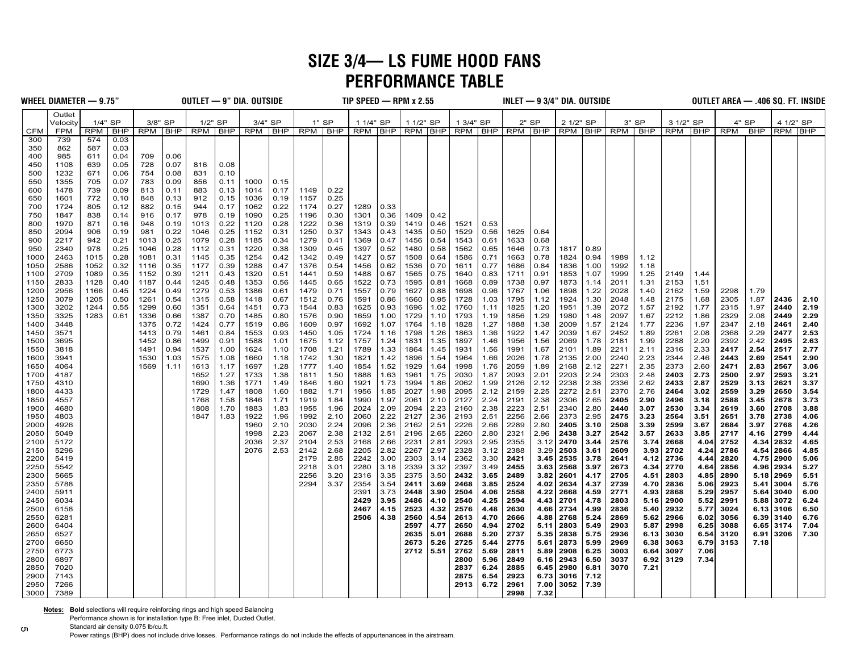# **SIZE 3/4— LS FUME HOOD FANS PERFORMANCE TABLE**

| Outlet<br>1/4" SP<br>3/8" SP<br>1/2" SP<br>3/4" SP<br>$1"$ SP<br>1 3/4" SP<br>$2"$ SP<br>2 1/2" SP<br>3" SP<br>3 1/2" SP<br>4" SP<br>4 1/2" SP<br>1 1/4" SP<br>1 1/2" SP<br>Velocity<br><b>RPM</b><br>RPM BHP<br>RPM   BHP   RPM   BHP<br>RPM   BHP   RPM   BHP<br>RPM BHP<br>RPM   BHP<br><b>RPM</b><br>RPM BHP<br><b>CFM</b><br><b>FPM</b><br><b>RPM</b><br><b>BHP</b><br>RPM BHP<br>BHP<br>RPM<br>  BHP<br>  BHP<br><b>RPM</b><br><b>BHP</b><br>300<br>739<br>574<br>0.03<br>350<br>587<br>0.03<br>862<br>0.04<br>0.06<br>400<br>985<br>709<br>611<br>450<br>1108<br>639<br>0.05<br>728<br>0.07<br>0.08<br>816<br>500<br>1232<br>0.06<br>754<br>0.08<br>831<br>0.10<br>671<br>0.07<br>550<br>1355<br>705<br>783<br>0.09<br>856<br>0.11<br>1000<br>0.15<br>600<br>1478<br>739<br>0.09<br>813<br>0.11<br>883<br>0.13<br>1014<br>0.17<br>1149<br>0.22<br>0.25<br>650<br>1601<br>772<br>0.10<br>848<br>0.13<br>912<br>0.15<br>1036<br>0.19<br>1157<br>700<br>1724<br>805<br>0.12<br>882<br>0.15<br>944<br>0.17<br>1062<br>0.22<br>1174<br>0.27<br>1289<br>0.33<br>750<br>0.25<br>1847<br>838<br>0.14<br>916<br>0.17<br>978<br>0.19<br>1090<br>1196<br>0.30<br>1301<br>0.36<br>1409<br>0.42<br>0.36<br>800<br>1970<br>871<br>0.16<br>948<br>0.19<br>1013<br>0.22<br>1120<br>0.28<br>1222<br>1319<br>0.39<br>1419<br>0.46<br>1521<br>0.53<br>850<br>2094<br>906<br>0.19<br>981<br>0.22<br>1046<br>0.25<br>1152<br>0.31<br>1250<br>0.37<br>1343<br>0.43<br>1435<br>0.50<br>1529<br>0.56<br>1625<br>0.64<br>900<br>2217<br>942<br>0.21<br>1013<br>0.25<br>1079<br>0.28<br>1185<br>0.34<br>1279<br>0.41<br>1369<br>0.47<br>1456<br>0.54<br>1543<br>0.61<br>1633<br>0.68<br>950<br>2340<br>978<br>0.25<br>1046<br>0.28<br>1112<br>0.31<br>1220<br>0.38<br>1309<br>0.45<br>1397<br>0.52<br>1480<br>0.58<br>1562<br>0.65<br>1646<br>0.73<br>1817<br>0.89<br>1000<br>2463<br>1015<br>0.28<br>1081<br>0.31<br>1145<br>0.35<br>1254<br>0.42<br>1342<br>0.49<br>1427<br>0.57<br>1508<br>1586<br>0.71<br>1663<br>0.78<br>1824<br>0.94<br>1989<br>1.12<br>0.64<br>1050<br>2586<br>1052<br>0.32<br>1116<br>0.35<br>1177<br>0.39<br>1288<br>0.47<br>1376<br>0.54<br>1456<br>0.62<br>1536<br>0.70<br>1611<br>0.77<br>1686<br>0.84<br>1836<br>1.00<br>1992<br>1.18<br>0.59<br>2709<br>0.35<br>1152<br>0.39<br>1211<br>0.43<br>1320<br>0.51<br>1488<br>0.67<br>1565<br>1640<br>0.83<br>0.91<br>1853<br>1.07<br>1999<br>1.25<br>2149<br>1100<br>1089<br>1441<br>0.75<br>1711<br>1.44<br>2153<br>2833<br>1128<br>1187<br>1245<br>0.48<br>1353<br>0.56<br>0.65<br>1522<br>0.73<br>1595<br>0.81<br>1668<br>0.89<br>1738<br>0.97<br>1873<br>2011<br>1.31<br>1.51<br>1150<br>0.40<br>0.44<br>1445<br>1.14<br>0.53<br>1698<br>1200<br>2956<br>1224<br>1386<br>0.61<br>0.71<br>1557<br>0.79<br>1627<br>0.88<br>0.96<br>1767<br>1898<br>1.22<br>2028<br>1.40<br>2162<br>1.59<br>2298<br>1166<br>0.45<br>0.49<br>1279<br>1479<br>1.06<br>1.79<br>1728<br>2175<br>2305<br>1250<br>3079<br>1205<br>0.50<br>1261<br>1315<br>0.58<br>1418<br>0.67<br>1512<br>0.76<br>1591<br>0.86<br>1660<br>0.95<br>1.03<br>1795<br>1.12<br>1924<br>1.30<br>2048<br>1.68<br>1.87<br>2436<br>0.54<br>1.48<br>1760<br>2072<br>1.77<br>2315<br>1300<br>3202<br>0.55<br>1299<br>0.60<br>1351<br>0.64<br>1451<br>0.73<br>1544<br>0.83<br>1625<br>0.93<br>1696<br>1.02<br>1.11<br>1825<br>1.20<br>1951<br>1.39<br>1.57<br>2192<br>1.97<br>2440<br>1244<br>3325<br>1283<br>0.70<br>1793<br>2097<br>2212<br>2329<br>2.08<br>1350<br>0.61<br>1336<br>1387<br>1485<br>0.80<br>1576<br>0.90<br>1659<br>1.00<br>1729<br>1.10<br>1856<br>1.29<br>1980<br>1.48<br>1.86<br>2449<br>0.66<br>1.19<br>1.67<br>0.77<br>0.97<br>1.07<br>1828<br>1.27<br>1.97<br>1400<br>3448<br>1375<br>0.72<br>1424<br>1519<br>0.86<br>1609<br>1692<br>1764<br>1.18<br>1888<br>1.38<br>2009<br>1.57<br>2124<br>1.77<br>2236<br>2347<br>2.18<br>2461<br>0.84<br>1553<br>1798<br>1863<br>1.36<br>1922<br>2039<br>2261<br>2.08<br>2368<br>2.29<br>1450<br>3571<br>1413<br>0.79<br>1461<br>0.93<br>1450<br>1.05<br>1724<br>1.16<br>1.26<br>1.47<br>1.67<br>2452<br>1.89<br>2477<br>3695<br>1897<br>2181<br>2288<br>2.20<br>2392<br>2.42<br>1500<br>1452<br>0.86<br>1499<br>0.91<br>1588<br>1.01<br>1675<br>1.12<br>1757<br>1.24<br>1831<br>1.35<br>1.46<br>1956<br>1.56<br>2069<br>1.78<br>1.99<br>2495<br>2.77<br>1.21<br>1789<br>1931<br>2211<br>2316<br>2.33<br>2417<br>2.54<br>2517<br>1550<br>3818<br>1491<br>0.94<br>1537<br>1.00<br>1624<br>1.10<br>1708<br>1.33<br>1864<br>1.45<br>1.56<br>1991<br>1.67<br>2101<br>1.89<br>2.11<br>1.30<br>2.00<br>2.23<br>2344<br>1600<br>3941<br>1530<br>1.03<br>1575<br>1.08<br>1660<br>1.18<br>1742<br>1821<br>1.42<br>1896<br>1.54<br>1964<br>1.66<br>2026<br>1.78<br>2135<br>2240<br>2.46<br>2443<br>2.69<br>2541<br>1998<br>2271<br>2.35<br>2.83<br>1650<br>4064<br>1569<br>1.11<br>1.17<br>1697<br>1.28<br>1777<br>1.40<br>1854<br>1.52<br>1929<br>1.64<br>1.76<br>2059<br>1.89<br>2168<br>2.12<br>2373<br>2.60<br>2471<br>2567<br>1613<br>1733<br>1.50<br>2030<br>2.01<br>2203<br>2.24<br>2303<br>2403<br>2.73<br>2500<br>2.97<br>2593<br>1700<br>4187<br>1652<br>1.27<br>1.38<br>1811<br>1888<br>1.63<br>1961<br>1.75<br>1.87<br>2093<br>2.48<br>2062<br>2.12<br>2238<br>2.38<br>2336<br>2.87<br>2529<br>2621<br>1750<br>4310<br>1690<br>1.36<br>1771<br>1.49<br>1846<br>1.60<br>1921<br>1.73<br>1994<br>1.86<br>1.99<br>2126<br>2.62<br>2433<br>3.13<br>1800 |  | WHEEL DIAMETER $-$ 9.75" |  |  |      |      | OUTLET — 9" DIA. OUTSIDE |      |      |      | TIP SPEED $-$ RPM x 2.55 |      |      |      |      |      |      |      | $INLET \rightarrow 9 3/4" DIA. OUTSIDE$ |      |      |      |      |      | OUTLET AREA — .406 SQ. FT. INSIDE |      |      |              |
|-------------------------------------------------------------------------------------------------------------------------------------------------------------------------------------------------------------------------------------------------------------------------------------------------------------------------------------------------------------------------------------------------------------------------------------------------------------------------------------------------------------------------------------------------------------------------------------------------------------------------------------------------------------------------------------------------------------------------------------------------------------------------------------------------------------------------------------------------------------------------------------------------------------------------------------------------------------------------------------------------------------------------------------------------------------------------------------------------------------------------------------------------------------------------------------------------------------------------------------------------------------------------------------------------------------------------------------------------------------------------------------------------------------------------------------------------------------------------------------------------------------------------------------------------------------------------------------------------------------------------------------------------------------------------------------------------------------------------------------------------------------------------------------------------------------------------------------------------------------------------------------------------------------------------------------------------------------------------------------------------------------------------------------------------------------------------------------------------------------------------------------------------------------------------------------------------------------------------------------------------------------------------------------------------------------------------------------------------------------------------------------------------------------------------------------------------------------------------------------------------------------------------------------------------------------------------------------------------------------------------------------------------------------------------------------------------------------------------------------------------------------------------------------------------------------------------------------------------------------------------------------------------------------------------------------------------------------------------------------------------------------------------------------------------------------------------------------------------------------------------------------------------------------------------------------------------------------------------------------------------------------------------------------------------------------------------------------------------------------------------------------------------------------------------------------------------------------------------------------------------------------------------------------------------------------------------------------------------------------------------------------------------------------------------------------------------------------------------------------------------------------------------------------------------------------------------------------------------------------------------------------------------------------------------------------------------------------------------------------------------------------------------------------------------------------------------------------------------------------------------------------------------------------------------------------------------------------------------------------------------------------------------------------------------------------------------------------------------------------------------------------------------------------------------------------------------------------------------------------------------------------------------------------------------------------------------------------------------------------------------------------------------------------------------------------------------------------------------------------------------------------------------------------------------------------------------------------------------------------------------------------------------------------------------------------------------------------------------------------------------------------------------------------------------------------------------------------------------------------------------------------------------------------------------------------------------------------------------------------------------------------------------------------------------------------------------------------------------------------------------------------------------------------------------|--|--------------------------|--|--|------|------|--------------------------|------|------|------|--------------------------|------|------|------|------|------|------|------|-----------------------------------------|------|------|------|------|------|-----------------------------------|------|------|--------------|
|                                                                                                                                                                                                                                                                                                                                                                                                                                                                                                                                                                                                                                                                                                                                                                                                                                                                                                                                                                                                                                                                                                                                                                                                                                                                                                                                                                                                                                                                                                                                                                                                                                                                                                                                                                                                                                                                                                                                                                                                                                                                                                                                                                                                                                                                                                                                                                                                                                                                                                                                                                                                                                                                                                                                                                                                                                                                                                                                                                                                                                                                                                                                                                                                                                                                                                                                                                                                                                                                                                                                                                                                                                                                                                                                                                                                                                                                                                                                                                                                                                                                                                                                                                                                                                                                                                                                                                                                                                                                                                                                                                                                                                                                                                                                                                                                                                                                                                                                                                                                                                                                                                                                                                                                                                                                                                                                                                                                                         |  |                          |  |  |      |      |                          |      |      |      |                          |      |      |      |      |      |      |      |                                         |      |      |      |      |      |                                   |      |      |              |
|                                                                                                                                                                                                                                                                                                                                                                                                                                                                                                                                                                                                                                                                                                                                                                                                                                                                                                                                                                                                                                                                                                                                                                                                                                                                                                                                                                                                                                                                                                                                                                                                                                                                                                                                                                                                                                                                                                                                                                                                                                                                                                                                                                                                                                                                                                                                                                                                                                                                                                                                                                                                                                                                                                                                                                                                                                                                                                                                                                                                                                                                                                                                                                                                                                                                                                                                                                                                                                                                                                                                                                                                                                                                                                                                                                                                                                                                                                                                                                                                                                                                                                                                                                                                                                                                                                                                                                                                                                                                                                                                                                                                                                                                                                                                                                                                                                                                                                                                                                                                                                                                                                                                                                                                                                                                                                                                                                                                                         |  |                          |  |  |      |      |                          |      |      |      |                          |      |      |      |      |      |      |      |                                         |      |      |      |      |      |                                   |      |      |              |
|                                                                                                                                                                                                                                                                                                                                                                                                                                                                                                                                                                                                                                                                                                                                                                                                                                                                                                                                                                                                                                                                                                                                                                                                                                                                                                                                                                                                                                                                                                                                                                                                                                                                                                                                                                                                                                                                                                                                                                                                                                                                                                                                                                                                                                                                                                                                                                                                                                                                                                                                                                                                                                                                                                                                                                                                                                                                                                                                                                                                                                                                                                                                                                                                                                                                                                                                                                                                                                                                                                                                                                                                                                                                                                                                                                                                                                                                                                                                                                                                                                                                                                                                                                                                                                                                                                                                                                                                                                                                                                                                                                                                                                                                                                                                                                                                                                                                                                                                                                                                                                                                                                                                                                                                                                                                                                                                                                                                                         |  |                          |  |  |      |      |                          |      |      |      |                          |      |      |      |      |      |      |      |                                         |      |      |      |      |      |                                   |      |      |              |
|                                                                                                                                                                                                                                                                                                                                                                                                                                                                                                                                                                                                                                                                                                                                                                                                                                                                                                                                                                                                                                                                                                                                                                                                                                                                                                                                                                                                                                                                                                                                                                                                                                                                                                                                                                                                                                                                                                                                                                                                                                                                                                                                                                                                                                                                                                                                                                                                                                                                                                                                                                                                                                                                                                                                                                                                                                                                                                                                                                                                                                                                                                                                                                                                                                                                                                                                                                                                                                                                                                                                                                                                                                                                                                                                                                                                                                                                                                                                                                                                                                                                                                                                                                                                                                                                                                                                                                                                                                                                                                                                                                                                                                                                                                                                                                                                                                                                                                                                                                                                                                                                                                                                                                                                                                                                                                                                                                                                                         |  |                          |  |  |      |      |                          |      |      |      |                          |      |      |      |      |      |      |      |                                         |      |      |      |      |      |                                   |      |      |              |
|                                                                                                                                                                                                                                                                                                                                                                                                                                                                                                                                                                                                                                                                                                                                                                                                                                                                                                                                                                                                                                                                                                                                                                                                                                                                                                                                                                                                                                                                                                                                                                                                                                                                                                                                                                                                                                                                                                                                                                                                                                                                                                                                                                                                                                                                                                                                                                                                                                                                                                                                                                                                                                                                                                                                                                                                                                                                                                                                                                                                                                                                                                                                                                                                                                                                                                                                                                                                                                                                                                                                                                                                                                                                                                                                                                                                                                                                                                                                                                                                                                                                                                                                                                                                                                                                                                                                                                                                                                                                                                                                                                                                                                                                                                                                                                                                                                                                                                                                                                                                                                                                                                                                                                                                                                                                                                                                                                                                                         |  |                          |  |  |      |      |                          |      |      |      |                          |      |      |      |      |      |      |      |                                         |      |      |      |      |      |                                   |      |      |              |
|                                                                                                                                                                                                                                                                                                                                                                                                                                                                                                                                                                                                                                                                                                                                                                                                                                                                                                                                                                                                                                                                                                                                                                                                                                                                                                                                                                                                                                                                                                                                                                                                                                                                                                                                                                                                                                                                                                                                                                                                                                                                                                                                                                                                                                                                                                                                                                                                                                                                                                                                                                                                                                                                                                                                                                                                                                                                                                                                                                                                                                                                                                                                                                                                                                                                                                                                                                                                                                                                                                                                                                                                                                                                                                                                                                                                                                                                                                                                                                                                                                                                                                                                                                                                                                                                                                                                                                                                                                                                                                                                                                                                                                                                                                                                                                                                                                                                                                                                                                                                                                                                                                                                                                                                                                                                                                                                                                                                                         |  |                          |  |  |      |      |                          |      |      |      |                          |      |      |      |      |      |      |      |                                         |      |      |      |      |      |                                   |      |      |              |
|                                                                                                                                                                                                                                                                                                                                                                                                                                                                                                                                                                                                                                                                                                                                                                                                                                                                                                                                                                                                                                                                                                                                                                                                                                                                                                                                                                                                                                                                                                                                                                                                                                                                                                                                                                                                                                                                                                                                                                                                                                                                                                                                                                                                                                                                                                                                                                                                                                                                                                                                                                                                                                                                                                                                                                                                                                                                                                                                                                                                                                                                                                                                                                                                                                                                                                                                                                                                                                                                                                                                                                                                                                                                                                                                                                                                                                                                                                                                                                                                                                                                                                                                                                                                                                                                                                                                                                                                                                                                                                                                                                                                                                                                                                                                                                                                                                                                                                                                                                                                                                                                                                                                                                                                                                                                                                                                                                                                                         |  |                          |  |  |      |      |                          |      |      |      |                          |      |      |      |      |      |      |      |                                         |      |      |      |      |      |                                   |      |      |              |
|                                                                                                                                                                                                                                                                                                                                                                                                                                                                                                                                                                                                                                                                                                                                                                                                                                                                                                                                                                                                                                                                                                                                                                                                                                                                                                                                                                                                                                                                                                                                                                                                                                                                                                                                                                                                                                                                                                                                                                                                                                                                                                                                                                                                                                                                                                                                                                                                                                                                                                                                                                                                                                                                                                                                                                                                                                                                                                                                                                                                                                                                                                                                                                                                                                                                                                                                                                                                                                                                                                                                                                                                                                                                                                                                                                                                                                                                                                                                                                                                                                                                                                                                                                                                                                                                                                                                                                                                                                                                                                                                                                                                                                                                                                                                                                                                                                                                                                                                                                                                                                                                                                                                                                                                                                                                                                                                                                                                                         |  |                          |  |  |      |      |                          |      |      |      |                          |      |      |      |      |      |      |      |                                         |      |      |      |      |      |                                   |      |      |              |
|                                                                                                                                                                                                                                                                                                                                                                                                                                                                                                                                                                                                                                                                                                                                                                                                                                                                                                                                                                                                                                                                                                                                                                                                                                                                                                                                                                                                                                                                                                                                                                                                                                                                                                                                                                                                                                                                                                                                                                                                                                                                                                                                                                                                                                                                                                                                                                                                                                                                                                                                                                                                                                                                                                                                                                                                                                                                                                                                                                                                                                                                                                                                                                                                                                                                                                                                                                                                                                                                                                                                                                                                                                                                                                                                                                                                                                                                                                                                                                                                                                                                                                                                                                                                                                                                                                                                                                                                                                                                                                                                                                                                                                                                                                                                                                                                                                                                                                                                                                                                                                                                                                                                                                                                                                                                                                                                                                                                                         |  |                          |  |  |      |      |                          |      |      |      |                          |      |      |      |      |      |      |      |                                         |      |      |      |      |      |                                   |      |      |              |
|                                                                                                                                                                                                                                                                                                                                                                                                                                                                                                                                                                                                                                                                                                                                                                                                                                                                                                                                                                                                                                                                                                                                                                                                                                                                                                                                                                                                                                                                                                                                                                                                                                                                                                                                                                                                                                                                                                                                                                                                                                                                                                                                                                                                                                                                                                                                                                                                                                                                                                                                                                                                                                                                                                                                                                                                                                                                                                                                                                                                                                                                                                                                                                                                                                                                                                                                                                                                                                                                                                                                                                                                                                                                                                                                                                                                                                                                                                                                                                                                                                                                                                                                                                                                                                                                                                                                                                                                                                                                                                                                                                                                                                                                                                                                                                                                                                                                                                                                                                                                                                                                                                                                                                                                                                                                                                                                                                                                                         |  |                          |  |  |      |      |                          |      |      |      |                          |      |      |      |      |      |      |      |                                         |      |      |      |      |      |                                   |      |      |              |
|                                                                                                                                                                                                                                                                                                                                                                                                                                                                                                                                                                                                                                                                                                                                                                                                                                                                                                                                                                                                                                                                                                                                                                                                                                                                                                                                                                                                                                                                                                                                                                                                                                                                                                                                                                                                                                                                                                                                                                                                                                                                                                                                                                                                                                                                                                                                                                                                                                                                                                                                                                                                                                                                                                                                                                                                                                                                                                                                                                                                                                                                                                                                                                                                                                                                                                                                                                                                                                                                                                                                                                                                                                                                                                                                                                                                                                                                                                                                                                                                                                                                                                                                                                                                                                                                                                                                                                                                                                                                                                                                                                                                                                                                                                                                                                                                                                                                                                                                                                                                                                                                                                                                                                                                                                                                                                                                                                                                                         |  |                          |  |  |      |      |                          |      |      |      |                          |      |      |      |      |      |      |      |                                         |      |      |      |      |      |                                   |      |      |              |
|                                                                                                                                                                                                                                                                                                                                                                                                                                                                                                                                                                                                                                                                                                                                                                                                                                                                                                                                                                                                                                                                                                                                                                                                                                                                                                                                                                                                                                                                                                                                                                                                                                                                                                                                                                                                                                                                                                                                                                                                                                                                                                                                                                                                                                                                                                                                                                                                                                                                                                                                                                                                                                                                                                                                                                                                                                                                                                                                                                                                                                                                                                                                                                                                                                                                                                                                                                                                                                                                                                                                                                                                                                                                                                                                                                                                                                                                                                                                                                                                                                                                                                                                                                                                                                                                                                                                                                                                                                                                                                                                                                                                                                                                                                                                                                                                                                                                                                                                                                                                                                                                                                                                                                                                                                                                                                                                                                                                                         |  |                          |  |  |      |      |                          |      |      |      |                          |      |      |      |      |      |      |      |                                         |      |      |      |      |      |                                   |      |      |              |
|                                                                                                                                                                                                                                                                                                                                                                                                                                                                                                                                                                                                                                                                                                                                                                                                                                                                                                                                                                                                                                                                                                                                                                                                                                                                                                                                                                                                                                                                                                                                                                                                                                                                                                                                                                                                                                                                                                                                                                                                                                                                                                                                                                                                                                                                                                                                                                                                                                                                                                                                                                                                                                                                                                                                                                                                                                                                                                                                                                                                                                                                                                                                                                                                                                                                                                                                                                                                                                                                                                                                                                                                                                                                                                                                                                                                                                                                                                                                                                                                                                                                                                                                                                                                                                                                                                                                                                                                                                                                                                                                                                                                                                                                                                                                                                                                                                                                                                                                                                                                                                                                                                                                                                                                                                                                                                                                                                                                                         |  |                          |  |  |      |      |                          |      |      |      |                          |      |      |      |      |      |      |      |                                         |      |      |      |      |      |                                   |      |      |              |
|                                                                                                                                                                                                                                                                                                                                                                                                                                                                                                                                                                                                                                                                                                                                                                                                                                                                                                                                                                                                                                                                                                                                                                                                                                                                                                                                                                                                                                                                                                                                                                                                                                                                                                                                                                                                                                                                                                                                                                                                                                                                                                                                                                                                                                                                                                                                                                                                                                                                                                                                                                                                                                                                                                                                                                                                                                                                                                                                                                                                                                                                                                                                                                                                                                                                                                                                                                                                                                                                                                                                                                                                                                                                                                                                                                                                                                                                                                                                                                                                                                                                                                                                                                                                                                                                                                                                                                                                                                                                                                                                                                                                                                                                                                                                                                                                                                                                                                                                                                                                                                                                                                                                                                                                                                                                                                                                                                                                                         |  |                          |  |  |      |      |                          |      |      |      |                          |      |      |      |      |      |      |      |                                         |      |      |      |      |      |                                   |      |      |              |
|                                                                                                                                                                                                                                                                                                                                                                                                                                                                                                                                                                                                                                                                                                                                                                                                                                                                                                                                                                                                                                                                                                                                                                                                                                                                                                                                                                                                                                                                                                                                                                                                                                                                                                                                                                                                                                                                                                                                                                                                                                                                                                                                                                                                                                                                                                                                                                                                                                                                                                                                                                                                                                                                                                                                                                                                                                                                                                                                                                                                                                                                                                                                                                                                                                                                                                                                                                                                                                                                                                                                                                                                                                                                                                                                                                                                                                                                                                                                                                                                                                                                                                                                                                                                                                                                                                                                                                                                                                                                                                                                                                                                                                                                                                                                                                                                                                                                                                                                                                                                                                                                                                                                                                                                                                                                                                                                                                                                                         |  |                          |  |  |      |      |                          |      |      |      |                          |      |      |      |      |      |      |      |                                         |      |      |      |      |      |                                   |      |      |              |
|                                                                                                                                                                                                                                                                                                                                                                                                                                                                                                                                                                                                                                                                                                                                                                                                                                                                                                                                                                                                                                                                                                                                                                                                                                                                                                                                                                                                                                                                                                                                                                                                                                                                                                                                                                                                                                                                                                                                                                                                                                                                                                                                                                                                                                                                                                                                                                                                                                                                                                                                                                                                                                                                                                                                                                                                                                                                                                                                                                                                                                                                                                                                                                                                                                                                                                                                                                                                                                                                                                                                                                                                                                                                                                                                                                                                                                                                                                                                                                                                                                                                                                                                                                                                                                                                                                                                                                                                                                                                                                                                                                                                                                                                                                                                                                                                                                                                                                                                                                                                                                                                                                                                                                                                                                                                                                                                                                                                                         |  |                          |  |  |      |      |                          |      |      |      |                          |      |      |      |      |      |      |      |                                         |      |      |      |      |      |                                   |      |      |              |
|                                                                                                                                                                                                                                                                                                                                                                                                                                                                                                                                                                                                                                                                                                                                                                                                                                                                                                                                                                                                                                                                                                                                                                                                                                                                                                                                                                                                                                                                                                                                                                                                                                                                                                                                                                                                                                                                                                                                                                                                                                                                                                                                                                                                                                                                                                                                                                                                                                                                                                                                                                                                                                                                                                                                                                                                                                                                                                                                                                                                                                                                                                                                                                                                                                                                                                                                                                                                                                                                                                                                                                                                                                                                                                                                                                                                                                                                                                                                                                                                                                                                                                                                                                                                                                                                                                                                                                                                                                                                                                                                                                                                                                                                                                                                                                                                                                                                                                                                                                                                                                                                                                                                                                                                                                                                                                                                                                                                                         |  |                          |  |  |      |      |                          |      |      |      |                          |      |      |      |      |      |      |      |                                         |      |      |      |      |      |                                   |      |      |              |
|                                                                                                                                                                                                                                                                                                                                                                                                                                                                                                                                                                                                                                                                                                                                                                                                                                                                                                                                                                                                                                                                                                                                                                                                                                                                                                                                                                                                                                                                                                                                                                                                                                                                                                                                                                                                                                                                                                                                                                                                                                                                                                                                                                                                                                                                                                                                                                                                                                                                                                                                                                                                                                                                                                                                                                                                                                                                                                                                                                                                                                                                                                                                                                                                                                                                                                                                                                                                                                                                                                                                                                                                                                                                                                                                                                                                                                                                                                                                                                                                                                                                                                                                                                                                                                                                                                                                                                                                                                                                                                                                                                                                                                                                                                                                                                                                                                                                                                                                                                                                                                                                                                                                                                                                                                                                                                                                                                                                                         |  |                          |  |  |      |      |                          |      |      |      |                          |      |      |      |      |      |      |      |                                         |      |      |      |      |      |                                   |      |      |              |
|                                                                                                                                                                                                                                                                                                                                                                                                                                                                                                                                                                                                                                                                                                                                                                                                                                                                                                                                                                                                                                                                                                                                                                                                                                                                                                                                                                                                                                                                                                                                                                                                                                                                                                                                                                                                                                                                                                                                                                                                                                                                                                                                                                                                                                                                                                                                                                                                                                                                                                                                                                                                                                                                                                                                                                                                                                                                                                                                                                                                                                                                                                                                                                                                                                                                                                                                                                                                                                                                                                                                                                                                                                                                                                                                                                                                                                                                                                                                                                                                                                                                                                                                                                                                                                                                                                                                                                                                                                                                                                                                                                                                                                                                                                                                                                                                                                                                                                                                                                                                                                                                                                                                                                                                                                                                                                                                                                                                                         |  |                          |  |  |      |      |                          |      |      |      |                          |      |      |      |      |      |      |      |                                         |      |      |      |      |      |                                   |      |      |              |
|                                                                                                                                                                                                                                                                                                                                                                                                                                                                                                                                                                                                                                                                                                                                                                                                                                                                                                                                                                                                                                                                                                                                                                                                                                                                                                                                                                                                                                                                                                                                                                                                                                                                                                                                                                                                                                                                                                                                                                                                                                                                                                                                                                                                                                                                                                                                                                                                                                                                                                                                                                                                                                                                                                                                                                                                                                                                                                                                                                                                                                                                                                                                                                                                                                                                                                                                                                                                                                                                                                                                                                                                                                                                                                                                                                                                                                                                                                                                                                                                                                                                                                                                                                                                                                                                                                                                                                                                                                                                                                                                                                                                                                                                                                                                                                                                                                                                                                                                                                                                                                                                                                                                                                                                                                                                                                                                                                                                                         |  |                          |  |  |      |      |                          |      |      |      |                          |      |      |      |      |      |      |      |                                         |      |      |      |      |      |                                   |      |      | 2.10         |
|                                                                                                                                                                                                                                                                                                                                                                                                                                                                                                                                                                                                                                                                                                                                                                                                                                                                                                                                                                                                                                                                                                                                                                                                                                                                                                                                                                                                                                                                                                                                                                                                                                                                                                                                                                                                                                                                                                                                                                                                                                                                                                                                                                                                                                                                                                                                                                                                                                                                                                                                                                                                                                                                                                                                                                                                                                                                                                                                                                                                                                                                                                                                                                                                                                                                                                                                                                                                                                                                                                                                                                                                                                                                                                                                                                                                                                                                                                                                                                                                                                                                                                                                                                                                                                                                                                                                                                                                                                                                                                                                                                                                                                                                                                                                                                                                                                                                                                                                                                                                                                                                                                                                                                                                                                                                                                                                                                                                                         |  |                          |  |  |      |      |                          |      |      |      |                          |      |      |      |      |      |      |      |                                         |      |      |      |      |      |                                   |      |      | 2.19         |
|                                                                                                                                                                                                                                                                                                                                                                                                                                                                                                                                                                                                                                                                                                                                                                                                                                                                                                                                                                                                                                                                                                                                                                                                                                                                                                                                                                                                                                                                                                                                                                                                                                                                                                                                                                                                                                                                                                                                                                                                                                                                                                                                                                                                                                                                                                                                                                                                                                                                                                                                                                                                                                                                                                                                                                                                                                                                                                                                                                                                                                                                                                                                                                                                                                                                                                                                                                                                                                                                                                                                                                                                                                                                                                                                                                                                                                                                                                                                                                                                                                                                                                                                                                                                                                                                                                                                                                                                                                                                                                                                                                                                                                                                                                                                                                                                                                                                                                                                                                                                                                                                                                                                                                                                                                                                                                                                                                                                                         |  |                          |  |  |      |      |                          |      |      |      |                          |      |      |      |      |      |      |      |                                         |      |      |      |      |      |                                   |      |      | 2.29         |
|                                                                                                                                                                                                                                                                                                                                                                                                                                                                                                                                                                                                                                                                                                                                                                                                                                                                                                                                                                                                                                                                                                                                                                                                                                                                                                                                                                                                                                                                                                                                                                                                                                                                                                                                                                                                                                                                                                                                                                                                                                                                                                                                                                                                                                                                                                                                                                                                                                                                                                                                                                                                                                                                                                                                                                                                                                                                                                                                                                                                                                                                                                                                                                                                                                                                                                                                                                                                                                                                                                                                                                                                                                                                                                                                                                                                                                                                                                                                                                                                                                                                                                                                                                                                                                                                                                                                                                                                                                                                                                                                                                                                                                                                                                                                                                                                                                                                                                                                                                                                                                                                                                                                                                                                                                                                                                                                                                                                                         |  |                          |  |  |      |      |                          |      |      |      |                          |      |      |      |      |      |      |      |                                         |      |      |      |      |      |                                   |      |      | 2.40         |
|                                                                                                                                                                                                                                                                                                                                                                                                                                                                                                                                                                                                                                                                                                                                                                                                                                                                                                                                                                                                                                                                                                                                                                                                                                                                                                                                                                                                                                                                                                                                                                                                                                                                                                                                                                                                                                                                                                                                                                                                                                                                                                                                                                                                                                                                                                                                                                                                                                                                                                                                                                                                                                                                                                                                                                                                                                                                                                                                                                                                                                                                                                                                                                                                                                                                                                                                                                                                                                                                                                                                                                                                                                                                                                                                                                                                                                                                                                                                                                                                                                                                                                                                                                                                                                                                                                                                                                                                                                                                                                                                                                                                                                                                                                                                                                                                                                                                                                                                                                                                                                                                                                                                                                                                                                                                                                                                                                                                                         |  |                          |  |  |      |      |                          |      |      |      |                          |      |      |      |      |      |      |      |                                         |      |      |      |      |      |                                   |      |      | 2.53         |
|                                                                                                                                                                                                                                                                                                                                                                                                                                                                                                                                                                                                                                                                                                                                                                                                                                                                                                                                                                                                                                                                                                                                                                                                                                                                                                                                                                                                                                                                                                                                                                                                                                                                                                                                                                                                                                                                                                                                                                                                                                                                                                                                                                                                                                                                                                                                                                                                                                                                                                                                                                                                                                                                                                                                                                                                                                                                                                                                                                                                                                                                                                                                                                                                                                                                                                                                                                                                                                                                                                                                                                                                                                                                                                                                                                                                                                                                                                                                                                                                                                                                                                                                                                                                                                                                                                                                                                                                                                                                                                                                                                                                                                                                                                                                                                                                                                                                                                                                                                                                                                                                                                                                                                                                                                                                                                                                                                                                                         |  |                          |  |  |      |      |                          |      |      |      |                          |      |      |      |      |      |      |      |                                         |      |      |      |      |      |                                   |      |      | 2.63         |
|                                                                                                                                                                                                                                                                                                                                                                                                                                                                                                                                                                                                                                                                                                                                                                                                                                                                                                                                                                                                                                                                                                                                                                                                                                                                                                                                                                                                                                                                                                                                                                                                                                                                                                                                                                                                                                                                                                                                                                                                                                                                                                                                                                                                                                                                                                                                                                                                                                                                                                                                                                                                                                                                                                                                                                                                                                                                                                                                                                                                                                                                                                                                                                                                                                                                                                                                                                                                                                                                                                                                                                                                                                                                                                                                                                                                                                                                                                                                                                                                                                                                                                                                                                                                                                                                                                                                                                                                                                                                                                                                                                                                                                                                                                                                                                                                                                                                                                                                                                                                                                                                                                                                                                                                                                                                                                                                                                                                                         |  |                          |  |  |      |      |                          |      |      |      |                          |      |      |      |      |      |      |      |                                         |      |      |      |      |      |                                   |      |      | 2.90         |
|                                                                                                                                                                                                                                                                                                                                                                                                                                                                                                                                                                                                                                                                                                                                                                                                                                                                                                                                                                                                                                                                                                                                                                                                                                                                                                                                                                                                                                                                                                                                                                                                                                                                                                                                                                                                                                                                                                                                                                                                                                                                                                                                                                                                                                                                                                                                                                                                                                                                                                                                                                                                                                                                                                                                                                                                                                                                                                                                                                                                                                                                                                                                                                                                                                                                                                                                                                                                                                                                                                                                                                                                                                                                                                                                                                                                                                                                                                                                                                                                                                                                                                                                                                                                                                                                                                                                                                                                                                                                                                                                                                                                                                                                                                                                                                                                                                                                                                                                                                                                                                                                                                                                                                                                                                                                                                                                                                                                                         |  |                          |  |  |      |      |                          |      |      |      |                          |      |      |      |      |      |      |      |                                         |      |      |      |      |      |                                   |      |      | 3.06         |
|                                                                                                                                                                                                                                                                                                                                                                                                                                                                                                                                                                                                                                                                                                                                                                                                                                                                                                                                                                                                                                                                                                                                                                                                                                                                                                                                                                                                                                                                                                                                                                                                                                                                                                                                                                                                                                                                                                                                                                                                                                                                                                                                                                                                                                                                                                                                                                                                                                                                                                                                                                                                                                                                                                                                                                                                                                                                                                                                                                                                                                                                                                                                                                                                                                                                                                                                                                                                                                                                                                                                                                                                                                                                                                                                                                                                                                                                                                                                                                                                                                                                                                                                                                                                                                                                                                                                                                                                                                                                                                                                                                                                                                                                                                                                                                                                                                                                                                                                                                                                                                                                                                                                                                                                                                                                                                                                                                                                                         |  |                          |  |  |      |      |                          |      |      |      |                          |      |      |      |      |      |      |      |                                         |      |      |      |      |      |                                   |      |      | 3.21         |
|                                                                                                                                                                                                                                                                                                                                                                                                                                                                                                                                                                                                                                                                                                                                                                                                                                                                                                                                                                                                                                                                                                                                                                                                                                                                                                                                                                                                                                                                                                                                                                                                                                                                                                                                                                                                                                                                                                                                                                                                                                                                                                                                                                                                                                                                                                                                                                                                                                                                                                                                                                                                                                                                                                                                                                                                                                                                                                                                                                                                                                                                                                                                                                                                                                                                                                                                                                                                                                                                                                                                                                                                                                                                                                                                                                                                                                                                                                                                                                                                                                                                                                                                                                                                                                                                                                                                                                                                                                                                                                                                                                                                                                                                                                                                                                                                                                                                                                                                                                                                                                                                                                                                                                                                                                                                                                                                                                                                                         |  |                          |  |  |      |      |                          |      |      |      |                          |      |      |      |      |      |      |      |                                         |      |      |      |      |      |                                   |      |      | 3.37         |
|                                                                                                                                                                                                                                                                                                                                                                                                                                                                                                                                                                                                                                                                                                                                                                                                                                                                                                                                                                                                                                                                                                                                                                                                                                                                                                                                                                                                                                                                                                                                                                                                                                                                                                                                                                                                                                                                                                                                                                                                                                                                                                                                                                                                                                                                                                                                                                                                                                                                                                                                                                                                                                                                                                                                                                                                                                                                                                                                                                                                                                                                                                                                                                                                                                                                                                                                                                                                                                                                                                                                                                                                                                                                                                                                                                                                                                                                                                                                                                                                                                                                                                                                                                                                                                                                                                                                                                                                                                                                                                                                                                                                                                                                                                                                                                                                                                                                                                                                                                                                                                                                                                                                                                                                                                                                                                                                                                                                                         |  | 4433                     |  |  | 1729 | 1.47 | 1808                     | 1.60 | 1882 | 1.71 | 1956                     | 1.85 | 2027 | 1.98 | 2095 | 2.12 | 2159 | 2.25 | 2272                                    | 2.51 | 2370 | 2.76 | 2464 | 3.02 | 2559                              | 3.29 | 2650 | 3.54         |
| 2588<br>1850<br>4557<br>1768<br>1.58<br>1846<br>1.71<br>1.84<br>1990<br>1.97<br>2061<br>2.10<br>2127<br>2.24<br>2191<br>2.38<br>2306<br>2.65<br>2405<br>2.90<br>2496<br>3.18<br>3.45<br>2678<br>1919                                                                                                                                                                                                                                                                                                                                                                                                                                                                                                                                                                                                                                                                                                                                                                                                                                                                                                                                                                                                                                                                                                                                                                                                                                                                                                                                                                                                                                                                                                                                                                                                                                                                                                                                                                                                                                                                                                                                                                                                                                                                                                                                                                                                                                                                                                                                                                                                                                                                                                                                                                                                                                                                                                                                                                                                                                                                                                                                                                                                                                                                                                                                                                                                                                                                                                                                                                                                                                                                                                                                                                                                                                                                                                                                                                                                                                                                                                                                                                                                                                                                                                                                                                                                                                                                                                                                                                                                                                                                                                                                                                                                                                                                                                                                                                                                                                                                                                                                                                                                                                                                                                                                                                                                                    |  |                          |  |  |      |      |                          |      |      |      |                          |      |      |      |      |      |      |      |                                         |      |      |      |      |      |                                   |      |      | 3.73         |
| 2160<br>2.38<br>1900<br>4680<br>1808<br>1.70<br>1883<br>1.83<br>1955<br>1.96<br>2024<br>2.09<br>2094<br>2.23<br>2223<br>2.51<br>2340<br>2.80<br>2440<br>3.07<br>2530<br>3.34<br>2619<br>3.60<br>2708                                                                                                                                                                                                                                                                                                                                                                                                                                                                                                                                                                                                                                                                                                                                                                                                                                                                                                                                                                                                                                                                                                                                                                                                                                                                                                                                                                                                                                                                                                                                                                                                                                                                                                                                                                                                                                                                                                                                                                                                                                                                                                                                                                                                                                                                                                                                                                                                                                                                                                                                                                                                                                                                                                                                                                                                                                                                                                                                                                                                                                                                                                                                                                                                                                                                                                                                                                                                                                                                                                                                                                                                                                                                                                                                                                                                                                                                                                                                                                                                                                                                                                                                                                                                                                                                                                                                                                                                                                                                                                                                                                                                                                                                                                                                                                                                                                                                                                                                                                                                                                                                                                                                                                                                                    |  |                          |  |  |      |      |                          |      |      |      |                          |      |      |      |      |      |      |      |                                         |      |      |      |      |      |                                   |      |      | 3.88         |
| 2.10<br>2.22<br>2127<br>2193<br>2.51<br>2.66<br>2.95<br>2651<br>2738<br>1950<br>4803<br>1847<br>1.83<br>1922<br>1.96<br>1992<br>2060<br>2.36<br>2256<br>2373<br>2475<br>3.23<br>2564<br>3.51<br>3.78                                                                                                                                                                                                                                                                                                                                                                                                                                                                                                                                                                                                                                                                                                                                                                                                                                                                                                                                                                                                                                                                                                                                                                                                                                                                                                                                                                                                                                                                                                                                                                                                                                                                                                                                                                                                                                                                                                                                                                                                                                                                                                                                                                                                                                                                                                                                                                                                                                                                                                                                                                                                                                                                                                                                                                                                                                                                                                                                                                                                                                                                                                                                                                                                                                                                                                                                                                                                                                                                                                                                                                                                                                                                                                                                                                                                                                                                                                                                                                                                                                                                                                                                                                                                                                                                                                                                                                                                                                                                                                                                                                                                                                                                                                                                                                                                                                                                                                                                                                                                                                                                                                                                                                                                                    |  |                          |  |  |      |      |                          |      |      |      |                          |      |      |      |      |      |      |      |                                         |      |      |      |      |      |                                   |      |      | 4.06         |
| 2.24<br>2.36<br>2226<br>2.66<br>2768<br>2000<br>4926<br>1960<br>2.10<br>2030<br>2096<br>2162<br>2.51<br>2289<br>2.80<br>2405<br>3.10<br>2508<br>3.39<br>2599<br>3.67<br>2684<br>3.97<br>2.38<br>2132<br>2.51<br>2196<br>2260<br>2.80<br>2.96<br>3.27<br>3.85<br>2717<br>2050<br>5049<br>1998<br>2.23<br>2067<br>2.65<br>2321<br>2438<br>2542<br>3.57<br>2633<br>4.16<br>2799                                                                                                                                                                                                                                                                                                                                                                                                                                                                                                                                                                                                                                                                                                                                                                                                                                                                                                                                                                                                                                                                                                                                                                                                                                                                                                                                                                                                                                                                                                                                                                                                                                                                                                                                                                                                                                                                                                                                                                                                                                                                                                                                                                                                                                                                                                                                                                                                                                                                                                                                                                                                                                                                                                                                                                                                                                                                                                                                                                                                                                                                                                                                                                                                                                                                                                                                                                                                                                                                                                                                                                                                                                                                                                                                                                                                                                                                                                                                                                                                                                                                                                                                                                                                                                                                                                                                                                                                                                                                                                                                                                                                                                                                                                                                                                                                                                                                                                                                                                                                                                            |  |                          |  |  |      |      |                          |      |      |      |                          |      |      |      |      |      |      |      |                                         |      |      |      |      |      |                                   |      |      | 4.26<br>4.44 |
| 2.53<br>2168<br>2231<br>2293<br>2.95<br>2668<br>2100<br>2036<br>2.37<br>2104<br>2.66<br>2.81<br>2355<br>3.12<br>2470<br>3.44<br>2576<br>3.74<br>4.04<br>2752<br>4.34<br>2832<br>5172                                                                                                                                                                                                                                                                                                                                                                                                                                                                                                                                                                                                                                                                                                                                                                                                                                                                                                                                                                                                                                                                                                                                                                                                                                                                                                                                                                                                                                                                                                                                                                                                                                                                                                                                                                                                                                                                                                                                                                                                                                                                                                                                                                                                                                                                                                                                                                                                                                                                                                                                                                                                                                                                                                                                                                                                                                                                                                                                                                                                                                                                                                                                                                                                                                                                                                                                                                                                                                                                                                                                                                                                                                                                                                                                                                                                                                                                                                                                                                                                                                                                                                                                                                                                                                                                                                                                                                                                                                                                                                                                                                                                                                                                                                                                                                                                                                                                                                                                                                                                                                                                                                                                                                                                                                    |  |                          |  |  |      |      |                          |      |      |      |                          |      |      |      |      |      |      |      |                                         |      |      |      |      |      |                                   |      |      | 4.65         |
| 5296<br>2205<br>2267<br>2.97<br>2328<br>3.12<br>2503<br>2609<br>2702<br>4.24<br>2150<br>2076<br>2.53<br>2142<br>2.68<br>2.82<br>2388<br>3.29<br>3.61<br>3.93<br>2786<br>4.54<br>2866                                                                                                                                                                                                                                                                                                                                                                                                                                                                                                                                                                                                                                                                                                                                                                                                                                                                                                                                                                                                                                                                                                                                                                                                                                                                                                                                                                                                                                                                                                                                                                                                                                                                                                                                                                                                                                                                                                                                                                                                                                                                                                                                                                                                                                                                                                                                                                                                                                                                                                                                                                                                                                                                                                                                                                                                                                                                                                                                                                                                                                                                                                                                                                                                                                                                                                                                                                                                                                                                                                                                                                                                                                                                                                                                                                                                                                                                                                                                                                                                                                                                                                                                                                                                                                                                                                                                                                                                                                                                                                                                                                                                                                                                                                                                                                                                                                                                                                                                                                                                                                                                                                                                                                                                                                    |  |                          |  |  |      |      |                          |      |      |      |                          |      |      |      |      |      |      |      |                                         |      |      |      |      |      |                                   |      |      | 4.85         |
| 2200<br>2179<br>2242<br>3.00<br>2303<br>2362<br>2535<br>3.78<br>2641<br>2736<br>5419<br>2.85<br>3.14<br>3.30<br>2421<br>3.45<br>4.12<br>4.44<br>2820<br>4.75 2900                                                                                                                                                                                                                                                                                                                                                                                                                                                                                                                                                                                                                                                                                                                                                                                                                                                                                                                                                                                                                                                                                                                                                                                                                                                                                                                                                                                                                                                                                                                                                                                                                                                                                                                                                                                                                                                                                                                                                                                                                                                                                                                                                                                                                                                                                                                                                                                                                                                                                                                                                                                                                                                                                                                                                                                                                                                                                                                                                                                                                                                                                                                                                                                                                                                                                                                                                                                                                                                                                                                                                                                                                                                                                                                                                                                                                                                                                                                                                                                                                                                                                                                                                                                                                                                                                                                                                                                                                                                                                                                                                                                                                                                                                                                                                                                                                                                                                                                                                                                                                                                                                                                                                                                                                                                       |  |                          |  |  |      |      |                          |      |      |      |                          |      |      |      |      |      |      |      |                                         |      |      |      |      |      |                                   |      |      | 5.06         |
| 2250<br>2339<br>2397<br>3.97<br>2673<br>4.34<br>5542<br>2218<br>3.01<br>2280<br>3.18<br>3.32<br>3.49<br>2455<br>3.63<br>2568<br>2770<br>4.64<br>2856<br>4.96 2934                                                                                                                                                                                                                                                                                                                                                                                                                                                                                                                                                                                                                                                                                                                                                                                                                                                                                                                                                                                                                                                                                                                                                                                                                                                                                                                                                                                                                                                                                                                                                                                                                                                                                                                                                                                                                                                                                                                                                                                                                                                                                                                                                                                                                                                                                                                                                                                                                                                                                                                                                                                                                                                                                                                                                                                                                                                                                                                                                                                                                                                                                                                                                                                                                                                                                                                                                                                                                                                                                                                                                                                                                                                                                                                                                                                                                                                                                                                                                                                                                                                                                                                                                                                                                                                                                                                                                                                                                                                                                                                                                                                                                                                                                                                                                                                                                                                                                                                                                                                                                                                                                                                                                                                                                                                       |  |                          |  |  |      |      |                          |      |      |      |                          |      |      |      |      |      |      |      |                                         |      |      |      |      |      |                                   |      |      | 5.27         |
| 2300<br>2256<br>2316<br>3.35<br>2375<br>3.50<br>2432<br>2705<br>2803<br>5665<br>3.20<br>3.65<br>2489<br>3.82<br>2601<br>4.17<br>4.51<br>4.85<br>2890<br>5.18<br>2969                                                                                                                                                                                                                                                                                                                                                                                                                                                                                                                                                                                                                                                                                                                                                                                                                                                                                                                                                                                                                                                                                                                                                                                                                                                                                                                                                                                                                                                                                                                                                                                                                                                                                                                                                                                                                                                                                                                                                                                                                                                                                                                                                                                                                                                                                                                                                                                                                                                                                                                                                                                                                                                                                                                                                                                                                                                                                                                                                                                                                                                                                                                                                                                                                                                                                                                                                                                                                                                                                                                                                                                                                                                                                                                                                                                                                                                                                                                                                                                                                                                                                                                                                                                                                                                                                                                                                                                                                                                                                                                                                                                                                                                                                                                                                                                                                                                                                                                                                                                                                                                                                                                                                                                                                                                    |  |                          |  |  |      |      |                          |      |      |      |                          |      |      |      |      |      |      |      |                                         |      |      |      |      |      |                                   |      |      | 5.51         |
| 2350<br>5788<br>2294<br>3.37<br>2354<br>3.54<br>2411<br>3.69<br>2468<br>3.85<br>2524<br>2634<br>2739<br>4.70<br>2836<br>5.06<br>3004<br>4.02<br>4.37<br>2923<br>5.41                                                                                                                                                                                                                                                                                                                                                                                                                                                                                                                                                                                                                                                                                                                                                                                                                                                                                                                                                                                                                                                                                                                                                                                                                                                                                                                                                                                                                                                                                                                                                                                                                                                                                                                                                                                                                                                                                                                                                                                                                                                                                                                                                                                                                                                                                                                                                                                                                                                                                                                                                                                                                                                                                                                                                                                                                                                                                                                                                                                                                                                                                                                                                                                                                                                                                                                                                                                                                                                                                                                                                                                                                                                                                                                                                                                                                                                                                                                                                                                                                                                                                                                                                                                                                                                                                                                                                                                                                                                                                                                                                                                                                                                                                                                                                                                                                                                                                                                                                                                                                                                                                                                                                                                                                                                    |  |                          |  |  |      |      |                          |      |      |      |                          |      |      |      |      |      |      |      |                                         |      |      |      |      |      |                                   |      |      | 5.76         |
| 2391<br>3.73<br>2504<br>4.59<br>2771<br>2868<br>5.29<br>5.64 3040<br>2400<br>5911<br>2448<br>3.90<br>4.06<br>2558<br>4.22 2668<br>4.93<br>2957                                                                                                                                                                                                                                                                                                                                                                                                                                                                                                                                                                                                                                                                                                                                                                                                                                                                                                                                                                                                                                                                                                                                                                                                                                                                                                                                                                                                                                                                                                                                                                                                                                                                                                                                                                                                                                                                                                                                                                                                                                                                                                                                                                                                                                                                                                                                                                                                                                                                                                                                                                                                                                                                                                                                                                                                                                                                                                                                                                                                                                                                                                                                                                                                                                                                                                                                                                                                                                                                                                                                                                                                                                                                                                                                                                                                                                                                                                                                                                                                                                                                                                                                                                                                                                                                                                                                                                                                                                                                                                                                                                                                                                                                                                                                                                                                                                                                                                                                                                                                                                                                                                                                                                                                                                                                          |  |                          |  |  |      |      |                          |      |      |      |                          |      |      |      |      |      |      |      |                                         |      |      |      |      |      |                                   |      |      | 6.00         |
| 2540<br>4.25<br>4.78<br>2803<br>5.52<br>2450<br>6034<br>2429<br>3.95<br>2486<br>4.10<br>2594<br>4.43<br>2701<br>5.16<br>2900<br>2991<br>5.88<br>3072<br>2500<br>2523<br>2576<br>2630<br>4.66 2734<br>4.99<br>2836<br>2932<br>5.77<br>2467                                                                                                                                                                                                                                                                                                                                                                                                                                                                                                                                                                                                                                                                                                                                                                                                                                                                                                                                                                                                                                                                                                                                                                                                                                                                                                                                                                                                                                                                                                                                                                                                                                                                                                                                                                                                                                                                                                                                                                                                                                                                                                                                                                                                                                                                                                                                                                                                                                                                                                                                                                                                                                                                                                                                                                                                                                                                                                                                                                                                                                                                                                                                                                                                                                                                                                                                                                                                                                                                                                                                                                                                                                                                                                                                                                                                                                                                                                                                                                                                                                                                                                                                                                                                                                                                                                                                                                                                                                                                                                                                                                                                                                                                                                                                                                                                                                                                                                                                                                                                                                                                                                                                                                               |  |                          |  |  |      |      |                          |      |      |      |                          |      |      |      |      |      |      |      |                                         |      |      |      |      |      |                                   |      |      | 6.24<br>6.50 |
| 6158<br>4.15<br>4.32<br>4.48<br>5.40<br>3024<br>6.13 3106<br>2560<br>2613<br>4.70<br>4.88 2768<br>2869<br>2966<br>6.02<br>2550<br>6281<br>2506<br>4.38<br>4.54<br>2666<br>5.24<br>5.62<br>3056<br>6.39 3140                                                                                                                                                                                                                                                                                                                                                                                                                                                                                                                                                                                                                                                                                                                                                                                                                                                                                                                                                                                                                                                                                                                                                                                                                                                                                                                                                                                                                                                                                                                                                                                                                                                                                                                                                                                                                                                                                                                                                                                                                                                                                                                                                                                                                                                                                                                                                                                                                                                                                                                                                                                                                                                                                                                                                                                                                                                                                                                                                                                                                                                                                                                                                                                                                                                                                                                                                                                                                                                                                                                                                                                                                                                                                                                                                                                                                                                                                                                                                                                                                                                                                                                                                                                                                                                                                                                                                                                                                                                                                                                                                                                                                                                                                                                                                                                                                                                                                                                                                                                                                                                                                                                                                                                                             |  |                          |  |  |      |      |                          |      |      |      |                          |      |      |      |      |      |      |      |                                         |      |      |      |      |      |                                   |      |      | 6.76         |
| 2903<br>2600<br>6404<br>2597<br>4.77<br>2650<br>4.94<br>2702<br>5.11 2803<br>5.49<br>5.87<br>2998<br>6.25<br>3088<br>6.65 3174                                                                                                                                                                                                                                                                                                                                                                                                                                                                                                                                                                                                                                                                                                                                                                                                                                                                                                                                                                                                                                                                                                                                                                                                                                                                                                                                                                                                                                                                                                                                                                                                                                                                                                                                                                                                                                                                                                                                                                                                                                                                                                                                                                                                                                                                                                                                                                                                                                                                                                                                                                                                                                                                                                                                                                                                                                                                                                                                                                                                                                                                                                                                                                                                                                                                                                                                                                                                                                                                                                                                                                                                                                                                                                                                                                                                                                                                                                                                                                                                                                                                                                                                                                                                                                                                                                                                                                                                                                                                                                                                                                                                                                                                                                                                                                                                                                                                                                                                                                                                                                                                                                                                                                                                                                                                                          |  |                          |  |  |      |      |                          |      |      |      |                          |      |      |      |      |      |      |      |                                         |      |      |      |      |      |                                   |      |      | 7.04         |
| 2688<br>5.75<br>3206<br>2650<br>6527<br>2635<br>5.01<br>5.20<br>2737<br>5.35<br>2838<br>2936<br>6.13<br>3030<br>6.54<br>3120<br>6.91                                                                                                                                                                                                                                                                                                                                                                                                                                                                                                                                                                                                                                                                                                                                                                                                                                                                                                                                                                                                                                                                                                                                                                                                                                                                                                                                                                                                                                                                                                                                                                                                                                                                                                                                                                                                                                                                                                                                                                                                                                                                                                                                                                                                                                                                                                                                                                                                                                                                                                                                                                                                                                                                                                                                                                                                                                                                                                                                                                                                                                                                                                                                                                                                                                                                                                                                                                                                                                                                                                                                                                                                                                                                                                                                                                                                                                                                                                                                                                                                                                                                                                                                                                                                                                                                                                                                                                                                                                                                                                                                                                                                                                                                                                                                                                                                                                                                                                                                                                                                                                                                                                                                                                                                                                                                                    |  |                          |  |  |      |      |                          |      |      |      |                          |      |      |      |      |      |      |      |                                         |      |      |      |      |      |                                   |      |      | 7.30         |
| 2725<br>5.99<br>2700<br>6650<br>2673<br>5.26<br>5.44<br>2775<br>5.61 2873<br>2969<br>6.38<br>3063<br>6.79 3153<br>7.18                                                                                                                                                                                                                                                                                                                                                                                                                                                                                                                                                                                                                                                                                                                                                                                                                                                                                                                                                                                                                                                                                                                                                                                                                                                                                                                                                                                                                                                                                                                                                                                                                                                                                                                                                                                                                                                                                                                                                                                                                                                                                                                                                                                                                                                                                                                                                                                                                                                                                                                                                                                                                                                                                                                                                                                                                                                                                                                                                                                                                                                                                                                                                                                                                                                                                                                                                                                                                                                                                                                                                                                                                                                                                                                                                                                                                                                                                                                                                                                                                                                                                                                                                                                                                                                                                                                                                                                                                                                                                                                                                                                                                                                                                                                                                                                                                                                                                                                                                                                                                                                                                                                                                                                                                                                                                                  |  |                          |  |  |      |      |                          |      |      |      |                          |      |      |      |      |      |      |      |                                         |      |      |      |      |      |                                   |      |      |              |
| 2762<br>6.25<br>7.06<br>2750<br>6773<br>2712<br>5.51<br>5.69<br>2811<br>5.89<br>2908<br>3003<br>6.64<br>3097                                                                                                                                                                                                                                                                                                                                                                                                                                                                                                                                                                                                                                                                                                                                                                                                                                                                                                                                                                                                                                                                                                                                                                                                                                                                                                                                                                                                                                                                                                                                                                                                                                                                                                                                                                                                                                                                                                                                                                                                                                                                                                                                                                                                                                                                                                                                                                                                                                                                                                                                                                                                                                                                                                                                                                                                                                                                                                                                                                                                                                                                                                                                                                                                                                                                                                                                                                                                                                                                                                                                                                                                                                                                                                                                                                                                                                                                                                                                                                                                                                                                                                                                                                                                                                                                                                                                                                                                                                                                                                                                                                                                                                                                                                                                                                                                                                                                                                                                                                                                                                                                                                                                                                                                                                                                                                            |  |                          |  |  |      |      |                          |      |      |      |                          |      |      |      |      |      |      |      |                                         |      |      |      |      |      |                                   |      |      |              |
| 6.16 2943<br>3037<br>3129<br>2800<br>6897<br>2800<br>5.96<br>2849<br>6.50<br>6.92<br>7.34                                                                                                                                                                                                                                                                                                                                                                                                                                                                                                                                                                                                                                                                                                                                                                                                                                                                                                                                                                                                                                                                                                                                                                                                                                                                                                                                                                                                                                                                                                                                                                                                                                                                                                                                                                                                                                                                                                                                                                                                                                                                                                                                                                                                                                                                                                                                                                                                                                                                                                                                                                                                                                                                                                                                                                                                                                                                                                                                                                                                                                                                                                                                                                                                                                                                                                                                                                                                                                                                                                                                                                                                                                                                                                                                                                                                                                                                                                                                                                                                                                                                                                                                                                                                                                                                                                                                                                                                                                                                                                                                                                                                                                                                                                                                                                                                                                                                                                                                                                                                                                                                                                                                                                                                                                                                                                                               |  |                          |  |  |      |      |                          |      |      |      |                          |      |      |      |      |      |      |      |                                         |      |      |      |      |      |                                   |      |      |              |
| 2850<br>7020<br>2837<br>6.24<br>2885<br>2980<br>6.81<br>3070<br>7.21<br>6.45                                                                                                                                                                                                                                                                                                                                                                                                                                                                                                                                                                                                                                                                                                                                                                                                                                                                                                                                                                                                                                                                                                                                                                                                                                                                                                                                                                                                                                                                                                                                                                                                                                                                                                                                                                                                                                                                                                                                                                                                                                                                                                                                                                                                                                                                                                                                                                                                                                                                                                                                                                                                                                                                                                                                                                                                                                                                                                                                                                                                                                                                                                                                                                                                                                                                                                                                                                                                                                                                                                                                                                                                                                                                                                                                                                                                                                                                                                                                                                                                                                                                                                                                                                                                                                                                                                                                                                                                                                                                                                                                                                                                                                                                                                                                                                                                                                                                                                                                                                                                                                                                                                                                                                                                                                                                                                                                            |  |                          |  |  |      |      |                          |      |      |      |                          |      |      |      |      |      |      |      |                                         |      |      |      |      |      |                                   |      |      |              |
| 2900<br>7143<br>2875<br>2923<br>3016<br>7.12<br>6.54<br>6.73<br>3052<br>7.39                                                                                                                                                                                                                                                                                                                                                                                                                                                                                                                                                                                                                                                                                                                                                                                                                                                                                                                                                                                                                                                                                                                                                                                                                                                                                                                                                                                                                                                                                                                                                                                                                                                                                                                                                                                                                                                                                                                                                                                                                                                                                                                                                                                                                                                                                                                                                                                                                                                                                                                                                                                                                                                                                                                                                                                                                                                                                                                                                                                                                                                                                                                                                                                                                                                                                                                                                                                                                                                                                                                                                                                                                                                                                                                                                                                                                                                                                                                                                                                                                                                                                                                                                                                                                                                                                                                                                                                                                                                                                                                                                                                                                                                                                                                                                                                                                                                                                                                                                                                                                                                                                                                                                                                                                                                                                                                                            |  |                          |  |  |      |      |                          |      |      |      |                          |      |      |      |      |      |      |      |                                         |      |      |      |      |      |                                   |      |      |              |
| 2950<br>7266<br>2913<br>6.72<br>2961<br>7.00<br>2998<br>7.32<br>3000<br>7389                                                                                                                                                                                                                                                                                                                                                                                                                                                                                                                                                                                                                                                                                                                                                                                                                                                                                                                                                                                                                                                                                                                                                                                                                                                                                                                                                                                                                                                                                                                                                                                                                                                                                                                                                                                                                                                                                                                                                                                                                                                                                                                                                                                                                                                                                                                                                                                                                                                                                                                                                                                                                                                                                                                                                                                                                                                                                                                                                                                                                                                                                                                                                                                                                                                                                                                                                                                                                                                                                                                                                                                                                                                                                                                                                                                                                                                                                                                                                                                                                                                                                                                                                                                                                                                                                                                                                                                                                                                                                                                                                                                                                                                                                                                                                                                                                                                                                                                                                                                                                                                                                                                                                                                                                                                                                                                                            |  |                          |  |  |      |      |                          |      |      |      |                          |      |      |      |      |      |      |      |                                         |      |      |      |      |      |                                   |      |      |              |

**Notes: Bold** selections will require reinforcing rings and high speed Balancing Performance shown is for installation type B: Free inlet, Ducted Outlet.

Standard air density 0.075 lb/cu.ft.

Power ratings (BHP) does not include drive losses. Performance ratings do not include the effects of appurtenances in the airstream.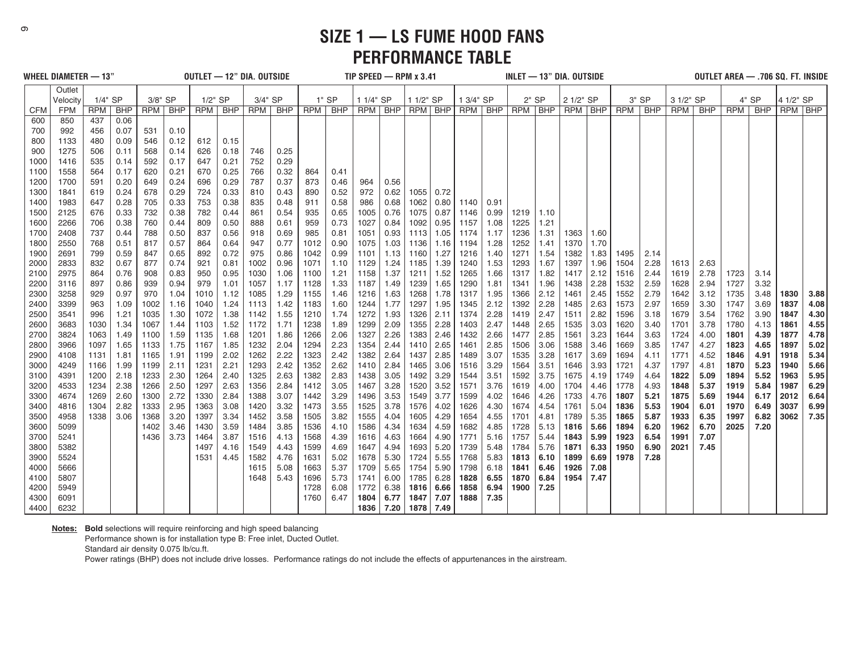**SIZE 1 — LS FUME HOOD FANS PERFORMANCE TABLE**

|              | WHEEL DIAMETER — 13" |            |              |            |              | OUTLET - 12" DIA, OUTSIDE |              |              |              |              |              | TIP SPEED $-$ RPM $x$ 3.41 |              |              |              |              |              | INLET — 13" DIA. OUTSIDE |              |              |              |              |       |              |      | OUTLET AREA - .706 SQ. FT. INSIDE |              |           |      |
|--------------|----------------------|------------|--------------|------------|--------------|---------------------------|--------------|--------------|--------------|--------------|--------------|----------------------------|--------------|--------------|--------------|--------------|--------------|--------------------------|--------------|--------------|--------------|--------------|-------|--------------|------|-----------------------------------|--------------|-----------|------|
|              | Outlet               |            |              |            |              |                           |              |              |              |              |              |                            |              |              |              |              |              |                          |              |              |              |              |       |              |      |                                   |              |           |      |
|              | Velocity             | 1/4" SP    |              | 3/8" SP    |              | $1/2$ " SP                |              | 3/4" SP      |              |              | $1"$ SP      | 1 1/4" SP                  |              | 1 1/2" SP    |              | 1 3/4" SP    |              |                          | $2"$ SP      | 2 1/2" SP    |              |              | 3" SP | 3 1/2" SP    |      |                                   | $4"$ SP      | 4 1/2" SP |      |
| <b>CFM</b>   | <b>FPM</b>           | <b>RPM</b> | <b>BHP</b>   |            | RPM   BHP    | RPM                       | <b>BHP</b>   |              | RPM   BHP    | <b>RPM</b>   | <b>BHP</b>   | RPM BHP                    |              | RPM BHP      |              |              | RPM   BHP    | RPM BHP                  |              | RPM BHP      |              | RPM BHP      |       | RPM          | BHP  | RPM                               | <b>BHP</b>   | RPM BHP   |      |
| 600          | 850                  | 437        | 0.06         |            |              |                           |              |              |              |              |              |                            |              |              |              |              |              |                          |              |              |              |              |       |              |      |                                   |              |           |      |
| 700          | 992                  | 456        | 0.07         | 531        | 0.10         |                           |              |              |              |              |              |                            |              |              |              |              |              |                          |              |              |              |              |       |              |      |                                   |              |           |      |
| 800          | 1133                 | 480        | 0.09         | 546        | 0.12         | 612                       | 0.15         |              |              |              |              |                            |              |              |              |              |              |                          |              |              |              |              |       |              |      |                                   |              |           |      |
| 900          | 1275                 | 506        | 0.11         | 568        | 0.14         | 626                       | 0.18         | 746          | 0.25         |              |              |                            |              |              |              |              |              |                          |              |              |              |              |       |              |      |                                   |              |           |      |
| 1000         | 1416                 | 535        | 0.14         | 592        | 0.17         | 647                       | 0.21         | 752          | 0.29         |              |              |                            |              |              |              |              |              |                          |              |              |              |              |       |              |      |                                   |              |           |      |
| 1100         | 1558                 | 564        | 0.17         | 620        | 0.21         | 670                       | 0.25         | 766          | 0.32         | 864          | 0.41         |                            |              |              |              |              |              |                          |              |              |              |              |       |              |      |                                   |              |           |      |
| 1200         | 1700                 | 591        | 0.20         | 649        | 0.24         | 696                       | 0.29         | 787          | 0.37         | 873          | 0.46         | 964                        | 0.56         |              |              |              |              |                          |              |              |              |              |       |              |      |                                   |              |           |      |
| 1300         | 1841                 | 619        | 0.24         | 678        | 0.29         | 724                       | 0.33         | 810          | 0.43         | 890          | 0.52         | 972                        | 0.62         | 1055         | 0.72         |              |              |                          |              |              |              |              |       |              |      |                                   |              |           |      |
| 1400         | 1983                 | 647        | 0.28         | 705        | 0.33         | 753                       | 0.38         | 835          | 0.48         | 911          | 0.58         | 986                        | 0.68         | 1062         | 0.80         | 1140         | 0.91         |                          |              |              |              |              |       |              |      |                                   |              |           |      |
| 1500         | 2125                 | 676        | 0.33         | 732        | 0.38         | 782                       | 0.44         | 861          | 0.54         | 935          | 0.65         | 1005                       | 0.76         | 1075         | 0.87         | 1146         | 0.99         | 1219                     | 1.10         |              |              |              |       |              |      |                                   |              |           |      |
| 1600         | 2266                 | 706        | 0.38         | 760        | 0.44         | 809                       | 0.50         | 888          | 0.61         | 959          | 0.73         | 1027                       | 0.84         | 1092         | 0.95         | 1157         | 1.08         | 1225                     | 1.21         |              |              |              |       |              |      |                                   |              |           |      |
| 1700         | 2408                 | 737        | 0.44         | 788        | 0.50         | 837                       | 0.56         | 918          | 0.69         | 985          | 0.81         | 1051                       | 0.93         | 1113         | 1.05         | 1174         | 1.17         | 1236                     | 1.31         | 1363         | 1.60         |              |       |              |      |                                   |              |           |      |
| 1800<br>1900 | 2550<br>2691         | 768        | 0.51<br>0.59 | 817<br>847 | 0.57<br>0.65 | 864                       | 0.64<br>0.72 | 947<br>975   | 0.77<br>0.86 | 1012<br>1042 | 0.90<br>0.99 | 1075<br>1101               | 1.03<br>1.13 | 1136<br>1160 | 1.16<br>1.27 | 1194<br>1216 | 1.28<br>1.40 | 1252<br>1271             | 1.41         | 1370<br>1382 | 1.70<br>1.83 | 1495         | 2.14  |              |      |                                   |              |           |      |
|              | 2833                 | 799        |              | 877        | 0.74         | 892<br>921                | 0.81         | 1002         | 0.96         | 1071         | 1.10         | 1129                       | 1.24         | 1185         | 1.39         | 1240         |              | 1293                     | 1.54<br>1.67 | 1397         | 1.96         | 1504         | 2.28  | 1613         | 2.63 |                                   |              |           |      |
| 2000<br>2100 |                      | 832        | 0.67         |            |              |                           |              |              |              |              | 1.21         |                            | 1.37         |              | 1.52         | 1265         | 1.53         |                          |              | 1417         | 2.12         |              | 2.44  |              | 2.78 |                                   |              |           |      |
| 2200         | 2975<br>3116         | 864<br>897 | 0.76<br>0.86 | 908<br>939 | 0.83<br>0.94 | 950<br>979                | 0.95<br>1.01 | 1030<br>1057 | 1.06<br>1.17 | 1100<br>1128 | 1.33         | 1158<br>1187               | 1.49         | 1211<br>1239 | 1.65         | 1290         | 1.66<br>1.81 | 1317<br>1341             | 1.82<br>1.96 | 1438         | 2.28         | 1516<br>1532 | 2.59  | 1619<br>1628 | 2.94 | 1723<br>1727                      | 3.14<br>3.32 |           |      |
| 2300         | 3258                 | 929        | 0.97         | 970        | 1.04         | 1010                      | 1.12         | 1085         | 1.29         | 1155         | 1.46         | 1216                       | 1.63         | 1268         | 1.78         | 1317         | 1.95         | 1366                     | 2.12         | 1461         | 2.45         | 1552         | 2.79  | 1642         | 3.12 | 1735                              | 3.48         | 1830      | 3.88 |
| 2400         | 3399                 | 963        | 1.09         | 1002       | 1.16         | 1040                      | 1.24         | 1113         | 1.42         | 1183         | 1.60         | 1244                       | 1.77         | 1297         | 1.95         | 1345         | 2.12         | 1392                     | 2.28         | 1485         | 2.63         | 1573         | 2.97  | 1659         | 3.30 | 1747                              | 3.69         | 1837      | 4.08 |
| 2500         | 3541                 | 996        | 1.21         | 1035       | 1.30         | 1072                      | 1.38         | 1142         | 1.55         | 1210         | 1.74         | 1272                       | 1.93         | 1326         | 2.11         | 1374         | 2.28         | 1419                     | 2.47         | 1511         | 2.82         | 1596         | 3.18  | 1679         | 3.54 | 1762                              | 3.90         | 1847      | 4.30 |
| 2600         | 3683                 | 1030       | 1.34         | 1067       | 1.44         | 1103                      | 1.52         | 1172         | 1.71         | 1238         | 1.89         | 1299                       | 2.09         | 1355         | 2.28         | 1403         | 2.47         | 1448                     | 2.65         | 1535         | 3.03         | 1620         | 3.40  | 1701         | 3.78 | 1780                              | 4.13         | 1861      | 4.55 |
| 2700         | 3824                 | 1063       | 1.49         | 1100       | 1.59         | 1135                      | 1.68         | 1201         | 1.86         | 1266         | 2.06         | 1327                       | 2.26         | 1383         | 2.46         | 1432         | 2.66         | 1477                     | 2.85         | 1561         | 3.23         | 1644         | 3.63  | 1724         | 4.00 | 1801                              | 4.39         | 1877      | 4.78 |
| 2800         | 3966                 | 1097       | 1.65         | 1133       | 1.75         | 1167                      | 1.85         | 1232         | 2.04         | 1294         | 2.23         | 1354                       | 2.44         | 1410         | 2.65         | 1461         | 2.85         | 1506                     | 3.06         | 1588         | 3.46         | 1669         | 3.85  | 1747         | 4.27 | 1823                              | 4.65         | 1897      | 5.02 |
| 2900         | 4108                 | 1131       | 1.81         | 1165       | 1.91         | 1199                      | 2.02         | 1262         | 2.22         | 1323         | 2.42         | 1382                       | 2.64         | 1437         | 2.85         | 1489         | 3.07         | 1535                     | 3.28         | 1617         | 3.69         | 1694         | 4.11  | 1771         | 4.52 | 1846                              | 4.91         | 1918      | 5.34 |
| 3000         | 4249                 | 1166       | 1.99         | 1199       | 2.11         | 1231                      | 2.21         | 1293         | 2.42         | 1352         | 2.62         | 1410                       | 2.84         | 1465         | 3.06         | 1516         | 3.29         | 1564                     | 3.51         | 1646         | 3.93         | 1721         | 4.37  | 1797         | 4.81 | 1870                              | 5.23         | 1940      | 5.66 |
| 3100         | 4391                 | 1200       | 2.18         | 1233       | 2.30         | 1264                      | 2.40         | 1325         | 2.63         | 1382         | 2.83         | 1438                       | 3.05         | 1492         | 3.29         | 1544         | 3.51         | 1592                     | 3.75         | 1675         | 4.19         | 1749         | 4.64  | 1822         | 5.09 | 1894                              | 5.52         | 1963      | 5.95 |
| 3200         | 4533                 | 1234       | 2.38         | 1266       | 2.50         | 1297                      | 2.63         | 1356         | 2.84         | 1412         | 3.05         | 1467                       | 3.28         | 1520         | 3.52         | 1571         | 3.76         | 1619                     | 4.00         | 1704         | 4.46         | 1778         | 4.93  | 1848         | 5.37 | 1919                              | 5.84         | 1987      | 6.29 |
| 3300         | 4674                 | 1269       | 2.60         | 1300       | 2.72         | 1330                      | 2.84         | 1388         | 3.07         | 1442         | 3.29         | 1496                       | 3.53         | 1549         | 3.77         | 1599         | 4.02         | 1646                     | 4.26         | 1733         | 4.76         | 1807         | 5.21  | 1875         | 5.69 | 1944                              | 6.17         | 2012      | 6.64 |
| 3400         | 4816                 | 1304       | 2.82         | 1333       | 2.95         | 1363                      | 3.08         | 1420         | 3.32         | 1473         | 3.55         | 1525                       | 3.78         | 1576         | 4.02         | 1626         | 4.30         | 1674                     | 4.54         | 1761         | 5.04         | 1836         | 5.53  | 1904         | 6.01 | 1970                              | 6.49         | 3037      | 6.99 |
| 3500         | 4958                 | 1338       | 3.06         | 1368       | 3.20         | 1397                      | 3.34         | 1452         | 3.58         | 1505         | 3.82         | 1555                       | 4.04         | 1605         | 4.29         | 1654         | 4.55         | 1701                     | 4.81         | 1789         | 5.35         | 1865         | 5.87  | 1933         | 6.35 | 1997                              | 6.82         | 3062      | 7.35 |
| 3600         | 5099                 |            |              | 1402       | 3.46         | 1430                      | 3.59         | 1484         | 3.85         | 1536         | 4.10         | 1586                       | 4.34         | 1634         | 4.59         | 1682         | 4.85         | 1728                     | 5.13         | 1816         | 5.66         | 1894         | 6.20  | 1962         | 6.70 | 2025                              | 7.20         |           |      |
| 3700         | 5241                 |            |              | 1436       | 3.73         | 1464                      | 3.87         | 1516         | 4.13         | 1568         | 4.39         | 1616                       | 4.63         | 1664         | 4.90         | 1771         | 5.16         | 1757                     | 5.44         | 1843         | 5.99         | 1923         | 6.54  | 1991         | 7.07 |                                   |              |           |      |
| 3800         | 5382                 |            |              |            |              | 1497                      | 4.16         | 1549         | 4.43         | 1599         | 4.69         | 1647                       | 4.94         | 1693         | 5.20         | 1739         | 5.48         | 1784                     | 5.76         | 1871         | 6.33         | 1950         | 6.90  | 2021         | 7.45 |                                   |              |           |      |
| 3900         | 5524                 |            |              |            |              | 1531                      | 4.45         | 1582         | 4.76         | 1631         | 5.02         | 1678                       | 5.30         | 1724         | 5.55         | 1768         | 5.83         | 1813                     | 6.10         | 1899         | 6.69         | 1978         | 7.28  |              |      |                                   |              |           |      |
| 4000         | 5666                 |            |              |            |              |                           |              | 1615         | 5.08         | 1663         | 5.37         | 1709                       | 5.65         | 1754         | 5.90         | 1798         | 6.18         | 1841                     | 6.46         | 1926         | 7.08         |              |       |              |      |                                   |              |           |      |
| 4100         | 5807                 |            |              |            |              |                           |              | 1648         | 5.43         | 1696         | 5.73         | 1741                       | 6.00         | 1785         | 6.28         | 1828         | 6.55         | 1870                     | 6.84         | 1954         | 7.47         |              |       |              |      |                                   |              |           |      |
| 4200         | 5949                 |            |              |            |              |                           |              |              |              | 1728         | 6.08         | 1772                       | 6.38         | 1816         | 6.66         | 1858         | 6.94         | 1900                     | 7.25         |              |              |              |       |              |      |                                   |              |           |      |
| 4300         | 6091                 |            |              |            |              |                           |              |              |              | 1760         | 6.47         | 1804                       | 6.77         | 1847         | 7.07         | 1888         | 7.35         |                          |              |              |              |              |       |              |      |                                   |              |           |      |
| 4400         | 6232                 |            |              |            |              |                           |              |              |              |              |              | 1836                       | 7.20         | 1878   7.49  |              |              |              |                          |              |              |              |              |       |              |      |                                   |              |           |      |

**Notes: Bold** selections will require reinforcing and high speed balancing

Performance shown is for installation type B: Free inlet, Ducted Outlet.

Standard air density 0.075 lb/cu.ft.

Power ratings (BHP) does not include drive losses. Performance ratings do not include the effects of appurtenances in the airstream.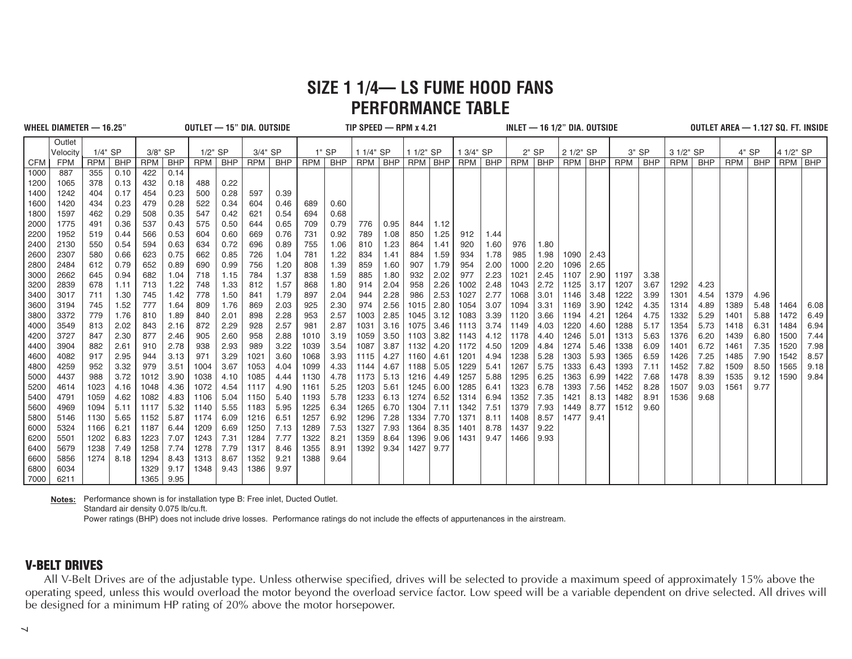### **SIZE 1 1/4— LS FUME HOOD FANS PERFORMANCE TABLE**

|            | WHEEL DIAMETER - 16.25" |            |            |            |            |           |            | OUTLET - 15" DIA, OUTSIDE |           |       |            | TIP SPEED $-$ RPM $x$ 4.21 |      |           |      |            |            |         |         | $INLET - 16 1/2" DIA. OUTSIDE$ |      |            |            |            |      | OUTLET AREA - 1.127 SQ. FT. INSIDE |            |           |      |
|------------|-------------------------|------------|------------|------------|------------|-----------|------------|---------------------------|-----------|-------|------------|----------------------------|------|-----------|------|------------|------------|---------|---------|--------------------------------|------|------------|------------|------------|------|------------------------------------|------------|-----------|------|
|            | Outlet                  |            |            |            |            |           |            |                           |           |       |            |                            |      |           |      |            |            |         |         |                                |      |            |            |            |      |                                    |            |           |      |
|            | Velocity                | $1/4$ " SP |            | 3/8" SP    |            | $1/2"$ SP |            | 3/4" SP                   |           |       | $1"$ SP    | 1 1/4" SP                  |      | 1 1/2" SP |      | 1 3/4" SP  |            |         | $2"$ SP | 2 1/2" SP                      |      |            | $3"$ SP    | 3 1/2" SP  |      |                                    | 4" SP      | 4 1/2" SP |      |
| <b>CFM</b> | <b>FPM</b>              | RPM        | <b>BHP</b> | <b>RPM</b> | <b>BHP</b> | RPM I     | <b>BHP</b> |                           | RPM   BHP | RPM I | <b>BHP</b> | RPM   BHP                  |      | RPM BHP   |      | <b>RPM</b> | <b>BHP</b> | RPM BHP |         | RPM BHP                        |      | <b>RPM</b> | <b>BHP</b> | <b>RPM</b> | BHP  | <b>RPM</b>                         | <b>BHP</b> | RPM BHP   |      |
| 1000       | 887                     | 355        | 0.10       | 422        | 0.14       |           |            |                           |           |       |            |                            |      |           |      |            |            |         |         |                                |      |            |            |            |      |                                    |            |           |      |
| 1200       | 1065                    | 378        | 0.13       | 432        | 0.18       | 488       | 0.22       |                           |           |       |            |                            |      |           |      |            |            |         |         |                                |      |            |            |            |      |                                    |            |           |      |
| 1400       | 1242                    | 404        | 0.17       | 454        | 0.23       | 500       | 0.28       | 597                       | 0.39      |       |            |                            |      |           |      |            |            |         |         |                                |      |            |            |            |      |                                    |            |           |      |
| 1600       | 1420                    | 434        | 0.23       | 479        | 0.28       | 522       | 0.34       | 604                       | 0.46      | 689   | 0.60       |                            |      |           |      |            |            |         |         |                                |      |            |            |            |      |                                    |            |           |      |
| 1800       | 1597                    | 462        | 0.29       | 508        | 0.35       | 547       | 0.42       | 621                       | 0.54      | 694   | 0.68       |                            |      |           |      |            |            |         |         |                                |      |            |            |            |      |                                    |            |           |      |
| 2000       | 1775                    | 491        | 0.36       | 537        | 0.43       | 575       | 0.50       | 644                       | 0.65      | 709   | 0.79       | 776                        | 0.95 | 844       | 1.12 |            |            |         |         |                                |      |            |            |            |      |                                    |            |           |      |
| 2200       | 1952                    | 519        | 0.44       | 566        | 0.53       | 604       | 0.60       | 669                       | 0.76      | 731   | 0.92       | 789                        | 1.08 | 850       | 1.25 | 912        | 1.44       |         |         |                                |      |            |            |            |      |                                    |            |           |      |
| 2400       | 2130                    | 550        | 0.54       | 594        | 0.63       | 634       | 0.72       | 696                       | 0.89      | 755   | 1.06       | 810                        | 1.23 | 864       | 1.41 | 920        | 1.60       | 976     | 1.80    |                                |      |            |            |            |      |                                    |            |           |      |
| 2600       | 2307                    | 580        | 0.66       | 623        | 0.75       | 662       | 0.85       | 726                       | 1.04      | 781   | 1.22       | 834                        | 1.41 | 884       | 1.59 | 934        | 1.78       | 985     | 1.98    | 1090                           | 2.43 |            |            |            |      |                                    |            |           |      |
| 2800       | 2484                    | 612        | 0.79       | 652        | 0.89       | 690       | 0.99       | 756                       | 1.20      | 808   | 1.39       | 859                        | 1.60 | 907       | 1.79 | 954        | 2.00       | 1000    | 2.20    | 1096                           | 2.65 |            |            |            |      |                                    |            |           |      |
| 3000       | 2662                    | 645        | 0.94       | 682        | 1.04       | 718       | 1.15       | 784                       | 1.37      | 838   | 1.59       | 885                        | 1.80 | 932       | 2.02 | 977        | 2.23       | 1021    | 2.45    | 1107                           | 2.90 | 1197       | 3.38       |            |      |                                    |            |           |      |
| 3200       | 2839                    | 678        | 1.11       | 713        | 1.22       | 748       | 1.33       | 812                       | 1.57      | 868   | 1.80       | 914                        | 2.04 | 958       | 2.26 | 1002       | 2.48       | 1043    | 2.72    | 1125                           | 3.17 | 1207       | 3.67       | 1292       | 4.23 |                                    |            |           |      |
| 3400       | 3017                    | 711        | 1.30       | 745        | 1.42       | 778       | 1.50       | 841                       | 1.79      | 897   | 2.04       | 944                        | 2.28 | 986       | 2.53 | 1027       | 2.77       | 1068    | 3.01    | 1146                           | 3.48 | 1222       | 3.99       | 1301       | 4.54 | 1379                               | 4.96       |           |      |
| 3600       | 3194                    | 745        | 1.52       | 777        | 1.64       | 809       | 1.76       | 869                       | 2.03      | 925   | 2.30       | 974                        | 2.56 | 1015      | 2.80 | 1054       | 3.07       | 1094    | 3.31    | 1169                           | 3.90 | 1242       | 4.35       | 1314       | 4.89 | 1389                               | 5.48       | 1464      | 6.08 |
| 3800       | 3372                    | 779        | 1.76       | 810        | 1.89       | 840       | 2.01       | 898                       | 2.28      | 953   | 2.57       | 1003                       | 2.85 | 1045      | 3.12 | 1083       | 3.39       | 1120    | 3.66    | 1194                           | 4.21 | 1264       | 4.75       | 1332       | 5.29 | 1401                               | 5.88       | 1472      | 6.49 |
| 4000       | 3549                    | 813        | 2.02       | 843        | 2.16       | 872       | 2.29       | 928                       | 2.57      | 981   | 2.87       | 1031                       | 3.16 | 1075      | 3.46 | 1113       | 3.74       | 1149    | 4.03    | 1220                           | 4.60 | 1288       | 5.17       | 1354       | 5.73 | 1418                               | 6.31       | 1484      | 6.94 |
| 4200       | 3727                    | 847        | 2.30       | 877        | 2.46       | 905       | 2.60       | 958                       | 2.88      | 1010  | 3.19       | 1059                       | 3.50 | 1103      | 3.82 | 1143       | 4.12       | 1178    | 4.40    | 1246                           | 5.01 | 1313       | 5.63       | 1376       | 6.20 | 1439                               | 6.80       | 1500      | 7.44 |
| 4400       | 3904                    | 882        | 2.61       | 910        | 2.78       | 938       | 2.93       | 989                       | 3.22      | 1039  | 3.54       | 1087                       | 3.87 | 1132      | 4.20 | 1172       | 4.50       | 1209    | 4.84    | 1274                           | 5.46 | 1338       | 6.09       | 1401       | 6.72 | 1461                               | 7.35       | 1520      | 7.98 |
| 4600       | 4082                    | 917        | 2.95       | 944        | 3.13       | 971       | 3.29       | 1021                      | 3.60      | 1068  | 3.93       | 1115                       | 4.27 | 1160      | 4.61 | 1201       | 4.94       | 1238    | 5.28    | 1303                           | 5.93 | 1365       | 6.59       | 1426       | 7.25 | 1485                               | 7.90       | 1542      | 8.57 |
| 4800       | 4259                    | 952        | 3.32       | 979        | 3.51       | 1004      | 3.67       | 1053                      | 4.04      | 1099  | 4.33       | 1144                       | 4.67 | 1188      | 5.05 | 1229       | 5.41       | 1267    | 5.75    | 1333                           | 6.43 | 1393       | 7.11       | 1452       | 7.82 | 1509                               | 8.50       | 1565      | 9.18 |
| 5000       | 4437                    | 988        | 3.72       | 1012       | 3.90       | 1038      | 4.10       | 1085                      | 4.44      | 1130  | 4.78       | 1173                       | 5.13 | 1216      | 4.49 | 1257       | 5.88       | 1295    | 6.25    | 1363                           | 6.99 | 1422       | 7.68       | 1478       | 8.39 | 1535                               | 9.12       | 1590      | 9.84 |
| 5200       | 4614                    | 1023       | 4.16       | 1048       | 4.36       | 1072      | 4.54       | 1117                      | 4.90      | 1161  | 5.25       | 1203                       | 5.61 | 1245      | 6.00 | 1285       | 6.41       | 1323    | 6.78    | 1393                           | 7.56 | 1452       | 8.28       | 1507       | 9.03 | 1561                               | 9.77       |           |      |
| 5400       | 4791                    | 1059       | 4.62       | 1082       | 4.83       | 1106      | 5.04       | 1150                      | 5.40      | 1193  | 5.78       | 1233                       | 6.13 | 1274      | 6.52 | 1314       | 6.94       | 1352    | 7.35    | 1421                           | 8.13 | 1482       | 8.91       | 1536       | 9.68 |                                    |            |           |      |
| 5600       | 4969                    | 1094       | 5.11       | 1117       | 5.32       | 1140      | 5.55       | 1183                      | 5.95      | 1225  | 6.34       | 1265                       | 6.70 | 1304      | 7.11 | 1342       | 7.51       | 1379    | 7.93    | 1449                           | 8.77 | 1512       | 9.60       |            |      |                                    |            |           |      |
| 5800       | 5146                    | 1130       | 5.65       | 1152       | 5.87       | 1174      | 6.09       | 1216                      | 6.51      | 1257  | 6.92       | 1296                       | 7.28 | 1334      | 7.70 | 1371       | 8.11       | 1408    | 8.57    | 1477                           | 9.41 |            |            |            |      |                                    |            |           |      |
| 6000       | 5324                    | 1166       | 6.21       | 1187       | 6.44       | 1209      | 6.69       | 1250                      | 7.13      | 1289  | 7.53       | 1327                       | 7.93 | 1364      | 8.35 | 1401       | 8.78       | 1437    | 9.22    |                                |      |            |            |            |      |                                    |            |           |      |
| 6200       | 5501                    | 1202       | 6.83       | 1223       | 7.07       | 1243      | 7.31       | 1284                      | 7.77      | 1322  | 8.21       | 1359                       | 8.64 | 1396      | 9.06 | 1431       | 9.47       | 1466    | 9.93    |                                |      |            |            |            |      |                                    |            |           |      |
| 6400       | 5679                    | 1238       | 7.49       | 1258       | 7.74       | 1278      | 7.79       | 1317                      | 8.46      | 1355  | 8.91       | 1392                       | 9.34 | 1427      | 9.77 |            |            |         |         |                                |      |            |            |            |      |                                    |            |           |      |
| 6600       | 5856                    | 1274       | 8.18       | 1294       | 8.43       | 1313      | 8.67       | 1352                      | 9.21      | 1388  | 9.64       |                            |      |           |      |            |            |         |         |                                |      |            |            |            |      |                                    |            |           |      |
| 6800       | 6034                    |            |            | 1329       | 9.17       | 1348      | 9.43       | 1386                      | 9.97      |       |            |                            |      |           |      |            |            |         |         |                                |      |            |            |            |      |                                    |            |           |      |
| 7000       | 6211                    |            |            | 1365       | 9.95       |           |            |                           |           |       |            |                            |      |           |      |            |            |         |         |                                |      |            |            |            |      |                                    |            |           |      |

**Notes:** Performance shown is for installation type B: Free inlet, Ducted Outlet.

Standard air density 0.075 lb/cu.ft.

Power ratings (BHP) does not include drive losses. Performance ratings do not include the effects of appurtenances in the airstream.

#### **V-BELT DRIVES**

All V-Belt Drives are of the adjustable type. Unless otherwise specified, drives will be selected to provide a maximum speed of approximately 15% above the operating speed, unless this would overload the motor beyond the overload service factor. Low speed will be a variable dependent on drive selected. All drives will be designed for a minimum HP rating of 20% above the motor horsepower.